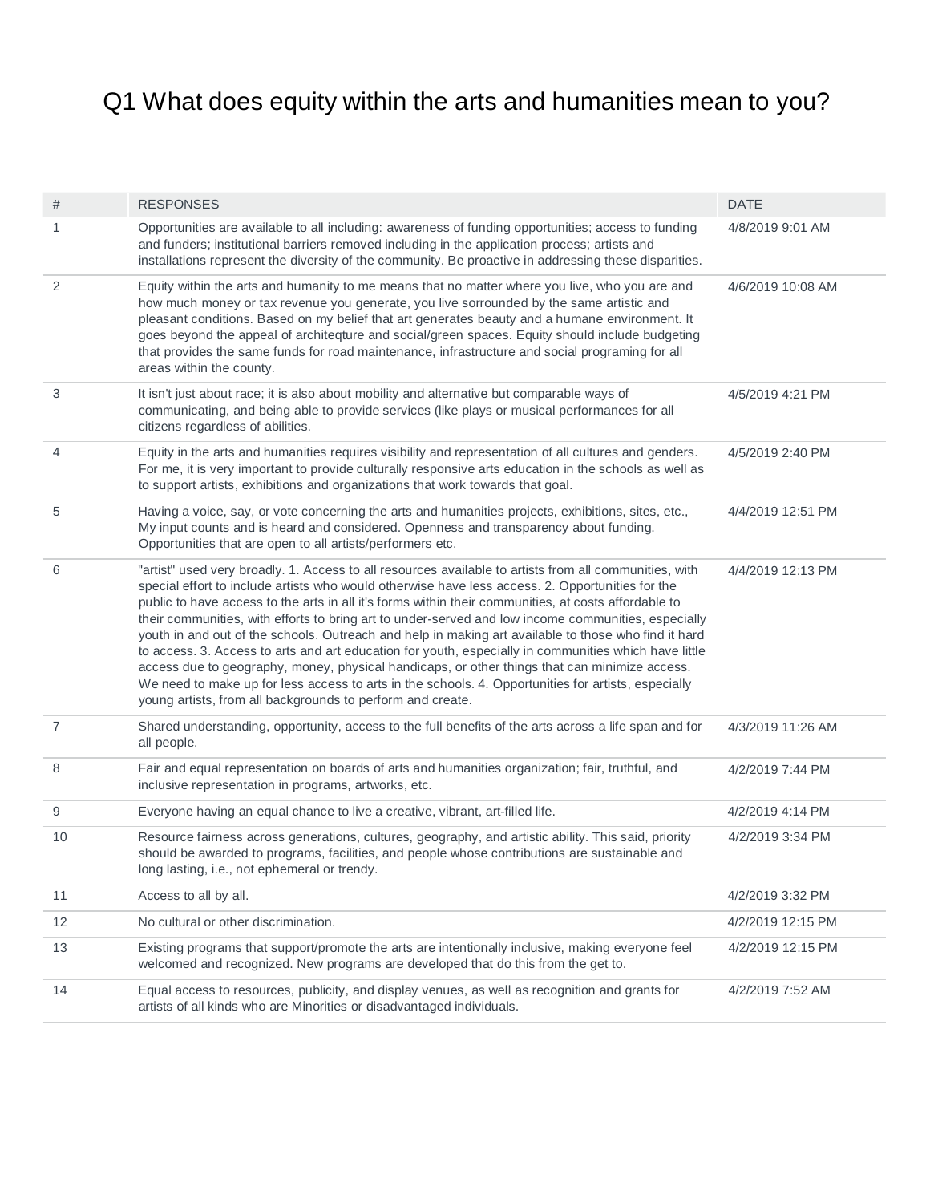## Q1 What does equity within the arts and humanities mean to you?

| #              | <b>RESPONSES</b>                                                                                                                                                                                                                                                                                                                                                                                                                                                                                                                                                                                                                                                                                                                                                                                                                                                                                                 | <b>DATE</b>       |
|----------------|------------------------------------------------------------------------------------------------------------------------------------------------------------------------------------------------------------------------------------------------------------------------------------------------------------------------------------------------------------------------------------------------------------------------------------------------------------------------------------------------------------------------------------------------------------------------------------------------------------------------------------------------------------------------------------------------------------------------------------------------------------------------------------------------------------------------------------------------------------------------------------------------------------------|-------------------|
| 1              | Opportunities are available to all including: awareness of funding opportunities; access to funding<br>and funders; institutional barriers removed including in the application process; artists and<br>installations represent the diversity of the community. Be proactive in addressing these disparities.                                                                                                                                                                                                                                                                                                                                                                                                                                                                                                                                                                                                    | 4/8/2019 9:01 AM  |
| 2              | Equity within the arts and humanity to me means that no matter where you live, who you are and<br>how much money or tax revenue you generate, you live sorrounded by the same artistic and<br>pleasant conditions. Based on my belief that art generates beauty and a humane environment. It<br>goes beyond the appeal of architeqture and social/green spaces. Equity should include budgeting<br>that provides the same funds for road maintenance, infrastructure and social programing for all<br>areas within the county.                                                                                                                                                                                                                                                                                                                                                                                   | 4/6/2019 10:08 AM |
| 3              | It isn't just about race; it is also about mobility and alternative but comparable ways of<br>communicating, and being able to provide services (like plays or musical performances for all<br>citizens regardless of abilities.                                                                                                                                                                                                                                                                                                                                                                                                                                                                                                                                                                                                                                                                                 | 4/5/2019 4:21 PM  |
| 4              | Equity in the arts and humanities requires visibility and representation of all cultures and genders.<br>For me, it is very important to provide culturally responsive arts education in the schools as well as<br>to support artists, exhibitions and organizations that work towards that goal.                                                                                                                                                                                                                                                                                                                                                                                                                                                                                                                                                                                                                | 4/5/2019 2:40 PM  |
| 5              | Having a voice, say, or vote concerning the arts and humanities projects, exhibitions, sites, etc.,<br>My input counts and is heard and considered. Openness and transparency about funding.<br>Opportunities that are open to all artists/performers etc.                                                                                                                                                                                                                                                                                                                                                                                                                                                                                                                                                                                                                                                       | 4/4/2019 12:51 PM |
| 6              | "artist" used very broadly. 1. Access to all resources available to artists from all communities, with<br>special effort to include artists who would otherwise have less access. 2. Opportunities for the<br>public to have access to the arts in all it's forms within their communities, at costs affordable to<br>their communities, with efforts to bring art to under-served and low income communities, especially<br>youth in and out of the schools. Outreach and help in making art available to those who find it hard<br>to access. 3. Access to arts and art education for youth, especially in communities which have little<br>access due to geography, money, physical handicaps, or other things that can minimize access.<br>We need to make up for less access to arts in the schools. 4. Opportunities for artists, especially<br>young artists, from all backgrounds to perform and create. | 4/4/2019 12:13 PM |
| $\overline{7}$ | Shared understanding, opportunity, access to the full benefits of the arts across a life span and for<br>all people.                                                                                                                                                                                                                                                                                                                                                                                                                                                                                                                                                                                                                                                                                                                                                                                             | 4/3/2019 11:26 AM |
| 8              | Fair and equal representation on boards of arts and humanities organization; fair, truthful, and<br>inclusive representation in programs, artworks, etc.                                                                                                                                                                                                                                                                                                                                                                                                                                                                                                                                                                                                                                                                                                                                                         | 4/2/2019 7:44 PM  |
| 9              | Everyone having an equal chance to live a creative, vibrant, art-filled life.                                                                                                                                                                                                                                                                                                                                                                                                                                                                                                                                                                                                                                                                                                                                                                                                                                    | 4/2/2019 4:14 PM  |
| 10             | Resource fairness across generations, cultures, geography, and artistic ability. This said, priority<br>should be awarded to programs, facilities, and people whose contributions are sustainable and<br>long lasting, i.e., not ephemeral or trendy.                                                                                                                                                                                                                                                                                                                                                                                                                                                                                                                                                                                                                                                            | 4/2/2019 3:34 PM  |
| 11             | Access to all by all.                                                                                                                                                                                                                                                                                                                                                                                                                                                                                                                                                                                                                                                                                                                                                                                                                                                                                            | 4/2/2019 3:32 PM  |
| 12             | No cultural or other discrimination.                                                                                                                                                                                                                                                                                                                                                                                                                                                                                                                                                                                                                                                                                                                                                                                                                                                                             | 4/2/2019 12:15 PM |
| 13             | Existing programs that support/promote the arts are intentionally inclusive, making everyone feel<br>welcomed and recognized. New programs are developed that do this from the get to.                                                                                                                                                                                                                                                                                                                                                                                                                                                                                                                                                                                                                                                                                                                           | 4/2/2019 12:15 PM |
| 14             | Equal access to resources, publicity, and display venues, as well as recognition and grants for<br>artists of all kinds who are Minorities or disadvantaged individuals.                                                                                                                                                                                                                                                                                                                                                                                                                                                                                                                                                                                                                                                                                                                                         | 4/2/2019 7:52 AM  |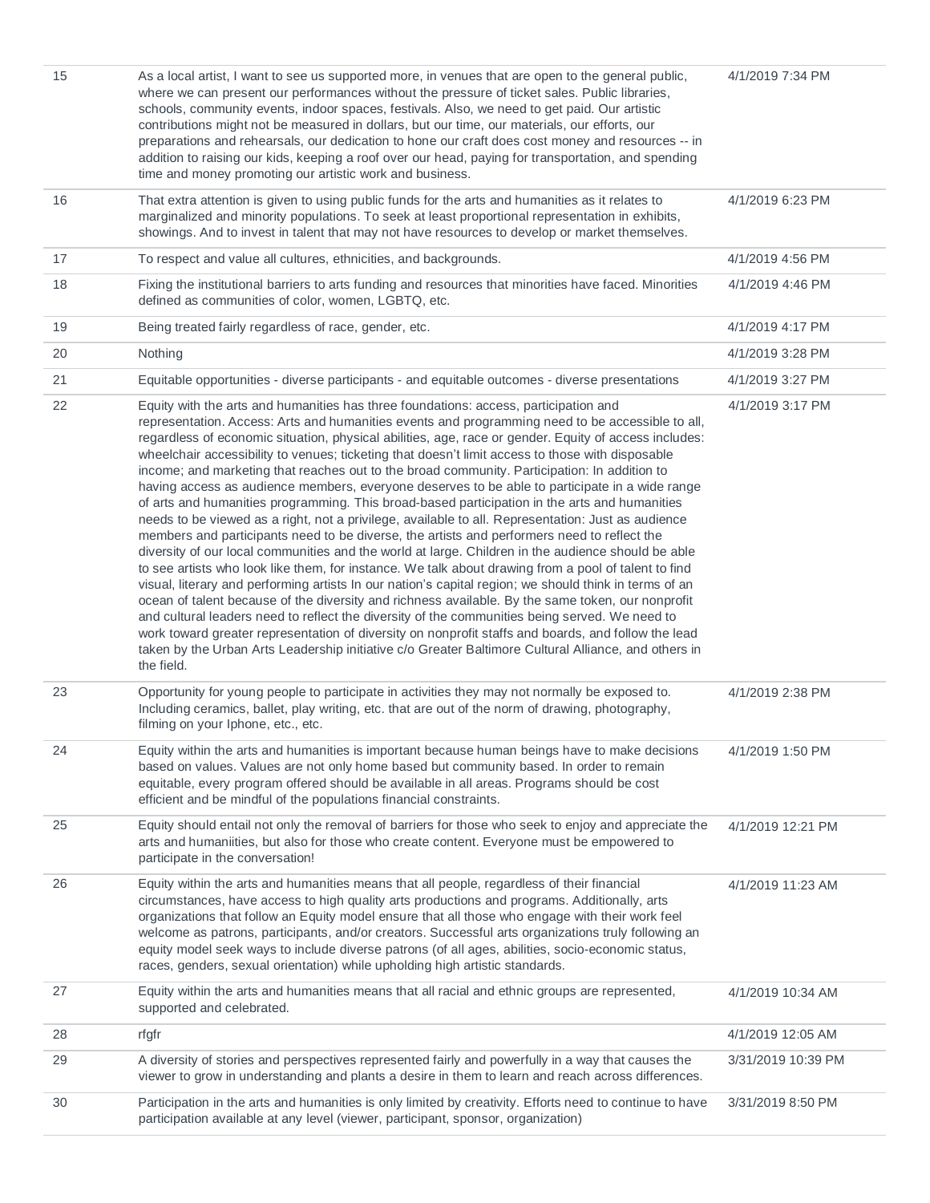| 15 | As a local artist, I want to see us supported more, in venues that are open to the general public,<br>where we can present our performances without the pressure of ticket sales. Public libraries,<br>schools, community events, indoor spaces, festivals. Also, we need to get paid. Our artistic<br>contributions might not be measured in dollars, but our time, our materials, our efforts, our<br>preparations and rehearsals, our dedication to hone our craft does cost money and resources -- in<br>addition to raising our kids, keeping a roof over our head, paying for transportation, and spending<br>time and money promoting our artistic work and business.                                                                                                                                                                                                                                                                                                                                                                                                                                                                                                                                                                                                                                                                                                                                                                                                                                                                                                                                                                                              | 4/1/2019 7:34 PM   |
|----|---------------------------------------------------------------------------------------------------------------------------------------------------------------------------------------------------------------------------------------------------------------------------------------------------------------------------------------------------------------------------------------------------------------------------------------------------------------------------------------------------------------------------------------------------------------------------------------------------------------------------------------------------------------------------------------------------------------------------------------------------------------------------------------------------------------------------------------------------------------------------------------------------------------------------------------------------------------------------------------------------------------------------------------------------------------------------------------------------------------------------------------------------------------------------------------------------------------------------------------------------------------------------------------------------------------------------------------------------------------------------------------------------------------------------------------------------------------------------------------------------------------------------------------------------------------------------------------------------------------------------------------------------------------------------|--------------------|
| 16 | That extra attention is given to using public funds for the arts and humanities as it relates to<br>marginalized and minority populations. To seek at least proportional representation in exhibits,<br>showings. And to invest in talent that may not have resources to develop or market themselves.                                                                                                                                                                                                                                                                                                                                                                                                                                                                                                                                                                                                                                                                                                                                                                                                                                                                                                                                                                                                                                                                                                                                                                                                                                                                                                                                                                    | 4/1/2019 6:23 PM   |
| 17 | To respect and value all cultures, ethnicities, and backgrounds.                                                                                                                                                                                                                                                                                                                                                                                                                                                                                                                                                                                                                                                                                                                                                                                                                                                                                                                                                                                                                                                                                                                                                                                                                                                                                                                                                                                                                                                                                                                                                                                                          | 4/1/2019 4:56 PM   |
| 18 | Fixing the institutional barriers to arts funding and resources that minorities have faced. Minorities<br>defined as communities of color, women, LGBTQ, etc.                                                                                                                                                                                                                                                                                                                                                                                                                                                                                                                                                                                                                                                                                                                                                                                                                                                                                                                                                                                                                                                                                                                                                                                                                                                                                                                                                                                                                                                                                                             | 4/1/2019 4:46 PM   |
| 19 | Being treated fairly regardless of race, gender, etc.                                                                                                                                                                                                                                                                                                                                                                                                                                                                                                                                                                                                                                                                                                                                                                                                                                                                                                                                                                                                                                                                                                                                                                                                                                                                                                                                                                                                                                                                                                                                                                                                                     | 4/1/2019 4:17 PM   |
| 20 | Nothing                                                                                                                                                                                                                                                                                                                                                                                                                                                                                                                                                                                                                                                                                                                                                                                                                                                                                                                                                                                                                                                                                                                                                                                                                                                                                                                                                                                                                                                                                                                                                                                                                                                                   | 4/1/2019 3:28 PM   |
| 21 | Equitable opportunities - diverse participants - and equitable outcomes - diverse presentations                                                                                                                                                                                                                                                                                                                                                                                                                                                                                                                                                                                                                                                                                                                                                                                                                                                                                                                                                                                                                                                                                                                                                                                                                                                                                                                                                                                                                                                                                                                                                                           | 4/1/2019 3:27 PM   |
| 22 | Equity with the arts and humanities has three foundations: access, participation and<br>representation. Access: Arts and humanities events and programming need to be accessible to all,<br>regardless of economic situation, physical abilities, age, race or gender. Equity of access includes:<br>wheelchair accessibility to venues; ticketing that doesn't limit access to those with disposable<br>income; and marketing that reaches out to the broad community. Participation: In addition to<br>having access as audience members, everyone deserves to be able to participate in a wide range<br>of arts and humanities programming. This broad-based participation in the arts and humanities<br>needs to be viewed as a right, not a privilege, available to all. Representation: Just as audience<br>members and participants need to be diverse, the artists and performers need to reflect the<br>diversity of our local communities and the world at large. Children in the audience should be able<br>to see artists who look like them, for instance. We talk about drawing from a pool of talent to find<br>visual, literary and performing artists In our nation's capital region; we should think in terms of an<br>ocean of talent because of the diversity and richness available. By the same token, our nonprofit<br>and cultural leaders need to reflect the diversity of the communities being served. We need to<br>work toward greater representation of diversity on nonprofit staffs and boards, and follow the lead<br>taken by the Urban Arts Leadership initiative c/o Greater Baltimore Cultural Alliance, and others in<br>the field. | 4/1/2019 3:17 PM   |
| 23 | Opportunity for young people to participate in activities they may not normally be exposed to.<br>Including ceramics, ballet, play writing, etc. that are out of the norm of drawing, photography,<br>filming on your Iphone, etc., etc.                                                                                                                                                                                                                                                                                                                                                                                                                                                                                                                                                                                                                                                                                                                                                                                                                                                                                                                                                                                                                                                                                                                                                                                                                                                                                                                                                                                                                                  | 4/1/2019 2:38 PM   |
| 24 | Equity within the arts and humanities is important because human beings have to make decisions<br>based on values. Values are not only home based but community based. In order to remain<br>equitable, every program offered should be available in all areas. Programs should be cost<br>efficient and be mindful of the populations financial constraints.                                                                                                                                                                                                                                                                                                                                                                                                                                                                                                                                                                                                                                                                                                                                                                                                                                                                                                                                                                                                                                                                                                                                                                                                                                                                                                             | 4/1/2019 1:50 PM   |
| 25 | Equity should entail not only the removal of barriers for those who seek to enjoy and appreciate the<br>arts and humaniities, but also for those who create content. Everyone must be empowered to<br>participate in the conversation!                                                                                                                                                                                                                                                                                                                                                                                                                                                                                                                                                                                                                                                                                                                                                                                                                                                                                                                                                                                                                                                                                                                                                                                                                                                                                                                                                                                                                                    | 4/1/2019 12:21 PM  |
| 26 | Equity within the arts and humanities means that all people, regardless of their financial<br>circumstances, have access to high quality arts productions and programs. Additionally, arts<br>organizations that follow an Equity model ensure that all those who engage with their work feel<br>welcome as patrons, participants, and/or creators. Successful arts organizations truly following an<br>equity model seek ways to include diverse patrons (of all ages, abilities, socio-economic status,<br>races, genders, sexual orientation) while upholding high artistic standards.                                                                                                                                                                                                                                                                                                                                                                                                                                                                                                                                                                                                                                                                                                                                                                                                                                                                                                                                                                                                                                                                                 | 4/1/2019 11:23 AM  |
| 27 | Equity within the arts and humanities means that all racial and ethnic groups are represented,<br>supported and celebrated.                                                                                                                                                                                                                                                                                                                                                                                                                                                                                                                                                                                                                                                                                                                                                                                                                                                                                                                                                                                                                                                                                                                                                                                                                                                                                                                                                                                                                                                                                                                                               | 4/1/2019 10:34 AM  |
| 28 | rfgfr                                                                                                                                                                                                                                                                                                                                                                                                                                                                                                                                                                                                                                                                                                                                                                                                                                                                                                                                                                                                                                                                                                                                                                                                                                                                                                                                                                                                                                                                                                                                                                                                                                                                     | 4/1/2019 12:05 AM  |
| 29 | A diversity of stories and perspectives represented fairly and powerfully in a way that causes the<br>viewer to grow in understanding and plants a desire in them to learn and reach across differences.                                                                                                                                                                                                                                                                                                                                                                                                                                                                                                                                                                                                                                                                                                                                                                                                                                                                                                                                                                                                                                                                                                                                                                                                                                                                                                                                                                                                                                                                  | 3/31/2019 10:39 PM |
| 30 | Participation in the arts and humanities is only limited by creativity. Efforts need to continue to have<br>participation available at any level (viewer, participant, sponsor, organization)                                                                                                                                                                                                                                                                                                                                                                                                                                                                                                                                                                                                                                                                                                                                                                                                                                                                                                                                                                                                                                                                                                                                                                                                                                                                                                                                                                                                                                                                             | 3/31/2019 8:50 PM  |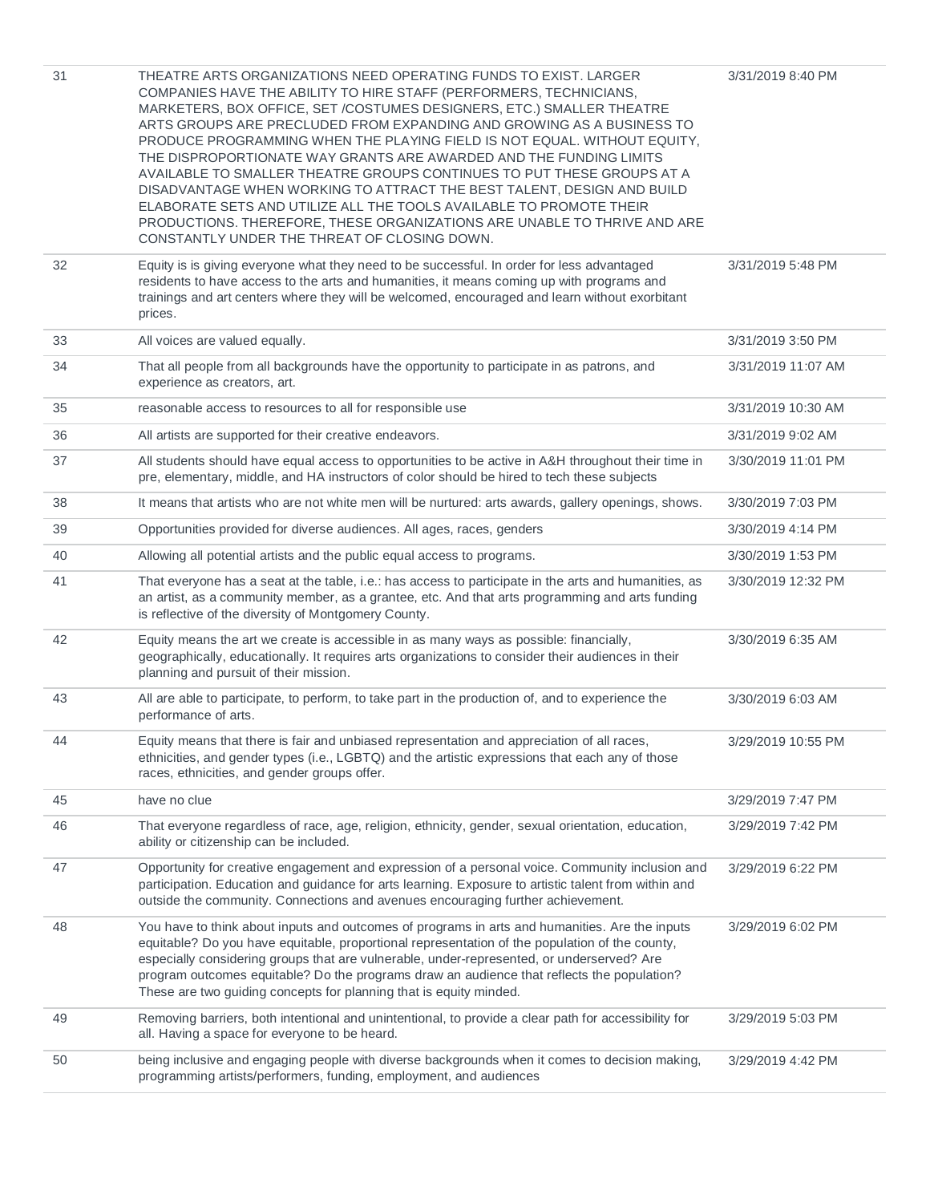| 31 | THEATRE ARTS ORGANIZATIONS NEED OPERATING FUNDS TO EXIST. LARGER<br>COMPANIES HAVE THE ABILITY TO HIRE STAFF (PERFORMERS, TECHNICIANS,<br>MARKETERS, BOX OFFICE, SET /COSTUMES DESIGNERS, ETC.) SMALLER THEATRE<br>ARTS GROUPS ARE PRECLUDED FROM EXPANDING AND GROWING AS A BUSINESS TO<br>PRODUCE PROGRAMMING WHEN THE PLAYING FIELD IS NOT EQUAL. WITHOUT EQUITY,<br>THE DISPROPORTIONATE WAY GRANTS ARE AWARDED AND THE FUNDING LIMITS<br>AVAILABLE TO SMALLER THEATRE GROUPS CONTINUES TO PUT THESE GROUPS AT A<br>DISADVANTAGE WHEN WORKING TO ATTRACT THE BEST TALENT, DESIGN AND BUILD<br>ELABORATE SETS AND UTILIZE ALL THE TOOLS AVAILABLE TO PROMOTE THEIR<br>PRODUCTIONS. THEREFORE, THESE ORGANIZATIONS ARE UNABLE TO THRIVE AND ARE<br>CONSTANTLY UNDER THE THREAT OF CLOSING DOWN. | 3/31/2019 8:40 PM  |
|----|---------------------------------------------------------------------------------------------------------------------------------------------------------------------------------------------------------------------------------------------------------------------------------------------------------------------------------------------------------------------------------------------------------------------------------------------------------------------------------------------------------------------------------------------------------------------------------------------------------------------------------------------------------------------------------------------------------------------------------------------------------------------------------------------------|--------------------|
| 32 | Equity is is giving everyone what they need to be successful. In order for less advantaged<br>residents to have access to the arts and humanities, it means coming up with programs and<br>trainings and art centers where they will be welcomed, encouraged and learn without exorbitant<br>prices.                                                                                                                                                                                                                                                                                                                                                                                                                                                                                              | 3/31/2019 5:48 PM  |
| 33 | All voices are valued equally.                                                                                                                                                                                                                                                                                                                                                                                                                                                                                                                                                                                                                                                                                                                                                                    | 3/31/2019 3:50 PM  |
| 34 | That all people from all backgrounds have the opportunity to participate in as patrons, and<br>experience as creators, art.                                                                                                                                                                                                                                                                                                                                                                                                                                                                                                                                                                                                                                                                       | 3/31/2019 11:07 AM |
| 35 | reasonable access to resources to all for responsible use                                                                                                                                                                                                                                                                                                                                                                                                                                                                                                                                                                                                                                                                                                                                         | 3/31/2019 10:30 AM |
| 36 | All artists are supported for their creative endeavors.                                                                                                                                                                                                                                                                                                                                                                                                                                                                                                                                                                                                                                                                                                                                           | 3/31/2019 9:02 AM  |
| 37 | All students should have equal access to opportunities to be active in A&H throughout their time in<br>pre, elementary, middle, and HA instructors of color should be hired to tech these subjects                                                                                                                                                                                                                                                                                                                                                                                                                                                                                                                                                                                                | 3/30/2019 11:01 PM |
| 38 | It means that artists who are not white men will be nurtured: arts awards, gallery openings, shows.                                                                                                                                                                                                                                                                                                                                                                                                                                                                                                                                                                                                                                                                                               | 3/30/2019 7:03 PM  |
| 39 | Opportunities provided for diverse audiences. All ages, races, genders                                                                                                                                                                                                                                                                                                                                                                                                                                                                                                                                                                                                                                                                                                                            | 3/30/2019 4:14 PM  |
| 40 | Allowing all potential artists and the public equal access to programs.                                                                                                                                                                                                                                                                                                                                                                                                                                                                                                                                                                                                                                                                                                                           | 3/30/2019 1:53 PM  |
| 41 | That everyone has a seat at the table, i.e.: has access to participate in the arts and humanities, as<br>an artist, as a community member, as a grantee, etc. And that arts programming and arts funding<br>is reflective of the diversity of Montgomery County.                                                                                                                                                                                                                                                                                                                                                                                                                                                                                                                                  | 3/30/2019 12:32 PM |
| 42 | Equity means the art we create is accessible in as many ways as possible: financially,<br>geographically, educationally. It requires arts organizations to consider their audiences in their<br>planning and pursuit of their mission.                                                                                                                                                                                                                                                                                                                                                                                                                                                                                                                                                            | 3/30/2019 6:35 AM  |
| 43 | All are able to participate, to perform, to take part in the production of, and to experience the<br>performance of arts.                                                                                                                                                                                                                                                                                                                                                                                                                                                                                                                                                                                                                                                                         | 3/30/2019 6:03 AM  |
| 44 | Equity means that there is fair and unbiased representation and appreciation of all races,<br>ethnicities, and gender types (i.e., LGBTQ) and the artistic expressions that each any of those<br>races, ethnicities, and gender groups offer.                                                                                                                                                                                                                                                                                                                                                                                                                                                                                                                                                     | 3/29/2019 10:55 PM |
| 45 | have no clue                                                                                                                                                                                                                                                                                                                                                                                                                                                                                                                                                                                                                                                                                                                                                                                      | 3/29/2019 7:47 PM  |
| 46 | That everyone regardless of race, age, religion, ethnicity, gender, sexual orientation, education,<br>ability or citizenship can be included.                                                                                                                                                                                                                                                                                                                                                                                                                                                                                                                                                                                                                                                     | 3/29/2019 7:42 PM  |
| 47 | Opportunity for creative engagement and expression of a personal voice. Community inclusion and<br>participation. Education and guidance for arts learning. Exposure to artistic talent from within and<br>outside the community. Connections and avenues encouraging further achievement.                                                                                                                                                                                                                                                                                                                                                                                                                                                                                                        | 3/29/2019 6:22 PM  |
| 48 | You have to think about inputs and outcomes of programs in arts and humanities. Are the inputs<br>equitable? Do you have equitable, proportional representation of the population of the county,<br>especially considering groups that are vulnerable, under-represented, or underserved? Are<br>program outcomes equitable? Do the programs draw an audience that reflects the population?<br>These are two guiding concepts for planning that is equity minded.                                                                                                                                                                                                                                                                                                                                 | 3/29/2019 6:02 PM  |
| 49 | Removing barriers, both intentional and unintentional, to provide a clear path for accessibility for<br>all. Having a space for everyone to be heard.                                                                                                                                                                                                                                                                                                                                                                                                                                                                                                                                                                                                                                             | 3/29/2019 5:03 PM  |
| 50 | being inclusive and engaging people with diverse backgrounds when it comes to decision making,<br>programming artists/performers, funding, employment, and audiences                                                                                                                                                                                                                                                                                                                                                                                                                                                                                                                                                                                                                              | 3/29/2019 4:42 PM  |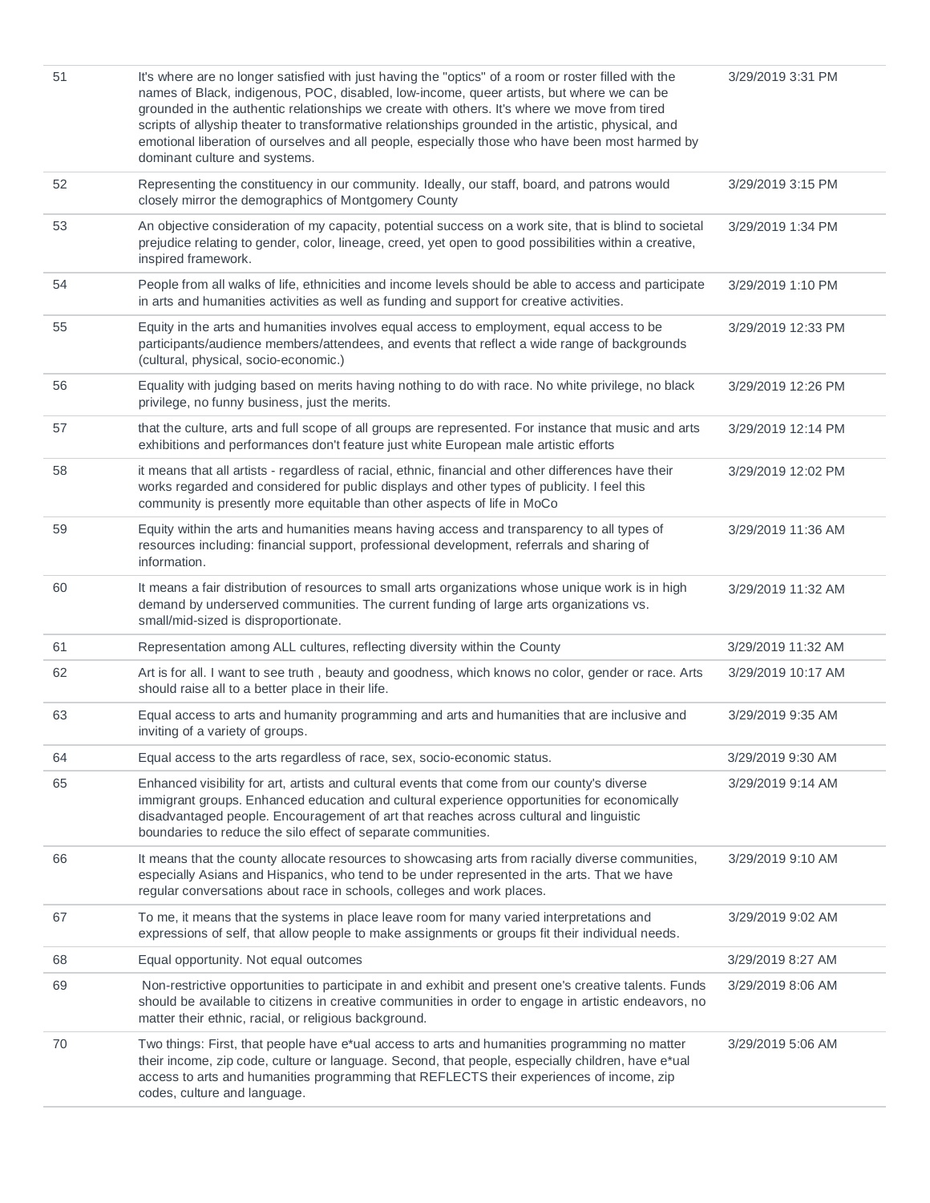| 51 | It's where are no longer satisfied with just having the "optics" of a room or roster filled with the<br>names of Black, indigenous, POC, disabled, low-income, queer artists, but where we can be<br>grounded in the authentic relationships we create with others. It's where we move from tired<br>scripts of allyship theater to transformative relationships grounded in the artistic, physical, and<br>emotional liberation of ourselves and all people, especially those who have been most harmed by<br>dominant culture and systems. | 3/29/2019 3:31 PM  |
|----|----------------------------------------------------------------------------------------------------------------------------------------------------------------------------------------------------------------------------------------------------------------------------------------------------------------------------------------------------------------------------------------------------------------------------------------------------------------------------------------------------------------------------------------------|--------------------|
| 52 | Representing the constituency in our community. Ideally, our staff, board, and patrons would<br>closely mirror the demographics of Montgomery County                                                                                                                                                                                                                                                                                                                                                                                         | 3/29/2019 3:15 PM  |
| 53 | An objective consideration of my capacity, potential success on a work site, that is blind to societal<br>prejudice relating to gender, color, lineage, creed, yet open to good possibilities within a creative,<br>inspired framework.                                                                                                                                                                                                                                                                                                      | 3/29/2019 1:34 PM  |
| 54 | People from all walks of life, ethnicities and income levels should be able to access and participate<br>in arts and humanities activities as well as funding and support for creative activities.                                                                                                                                                                                                                                                                                                                                           | 3/29/2019 1:10 PM  |
| 55 | Equity in the arts and humanities involves equal access to employment, equal access to be<br>participants/audience members/attendees, and events that reflect a wide range of backgrounds<br>(cultural, physical, socio-economic.)                                                                                                                                                                                                                                                                                                           | 3/29/2019 12:33 PM |
| 56 | Equality with judging based on merits having nothing to do with race. No white privilege, no black<br>privilege, no funny business, just the merits.                                                                                                                                                                                                                                                                                                                                                                                         | 3/29/2019 12:26 PM |
| 57 | that the culture, arts and full scope of all groups are represented. For instance that music and arts<br>exhibitions and performances don't feature just white European male artistic efforts                                                                                                                                                                                                                                                                                                                                                | 3/29/2019 12:14 PM |
| 58 | it means that all artists - regardless of racial, ethnic, financial and other differences have their<br>works regarded and considered for public displays and other types of publicity. I feel this<br>community is presently more equitable than other aspects of life in MoCo                                                                                                                                                                                                                                                              | 3/29/2019 12:02 PM |
| 59 | Equity within the arts and humanities means having access and transparency to all types of<br>resources including: financial support, professional development, referrals and sharing of<br>information.                                                                                                                                                                                                                                                                                                                                     | 3/29/2019 11:36 AM |
| 60 | It means a fair distribution of resources to small arts organizations whose unique work is in high<br>demand by underserved communities. The current funding of large arts organizations vs.<br>small/mid-sized is disproportionate.                                                                                                                                                                                                                                                                                                         | 3/29/2019 11:32 AM |
| 61 | Representation among ALL cultures, reflecting diversity within the County                                                                                                                                                                                                                                                                                                                                                                                                                                                                    | 3/29/2019 11:32 AM |
| 62 | Art is for all. I want to see truth, beauty and goodness, which knows no color, gender or race. Arts<br>should raise all to a better place in their life.                                                                                                                                                                                                                                                                                                                                                                                    | 3/29/2019 10:17 AM |
| 63 | Equal access to arts and humanity programming and arts and humanities that are inclusive and<br>inviting of a variety of groups.                                                                                                                                                                                                                                                                                                                                                                                                             | 3/29/2019 9:35 AM  |
| 64 | Equal access to the arts regardless of race, sex, socio-economic status.                                                                                                                                                                                                                                                                                                                                                                                                                                                                     | 3/29/2019 9:30 AM  |
| 65 | Enhanced visibility for art, artists and cultural events that come from our county's diverse<br>immigrant groups. Enhanced education and cultural experience opportunities for economically<br>disadvantaged people. Encouragement of art that reaches across cultural and linguistic<br>boundaries to reduce the silo effect of separate communities.                                                                                                                                                                                       | 3/29/2019 9:14 AM  |
| 66 | It means that the county allocate resources to showcasing arts from racially diverse communities,<br>especially Asians and Hispanics, who tend to be under represented in the arts. That we have<br>regular conversations about race in schools, colleges and work places.                                                                                                                                                                                                                                                                   | 3/29/2019 9:10 AM  |
| 67 | To me, it means that the systems in place leave room for many varied interpretations and<br>expressions of self, that allow people to make assignments or groups fit their individual needs.                                                                                                                                                                                                                                                                                                                                                 | 3/29/2019 9:02 AM  |
| 68 | Equal opportunity. Not equal outcomes                                                                                                                                                                                                                                                                                                                                                                                                                                                                                                        | 3/29/2019 8:27 AM  |
| 69 | Non-restrictive opportunities to participate in and exhibit and present one's creative talents. Funds<br>should be available to citizens in creative communities in order to engage in artistic endeavors, no<br>matter their ethnic, racial, or religious background.                                                                                                                                                                                                                                                                       | 3/29/2019 8:06 AM  |
| 70 | Two things: First, that people have e*ual access to arts and humanities programming no matter<br>their income, zip code, culture or language. Second, that people, especially children, have e*ual<br>access to arts and humanities programming that REFLECTS their experiences of income, zip<br>codes, culture and language.                                                                                                                                                                                                               | 3/29/2019 5:06 AM  |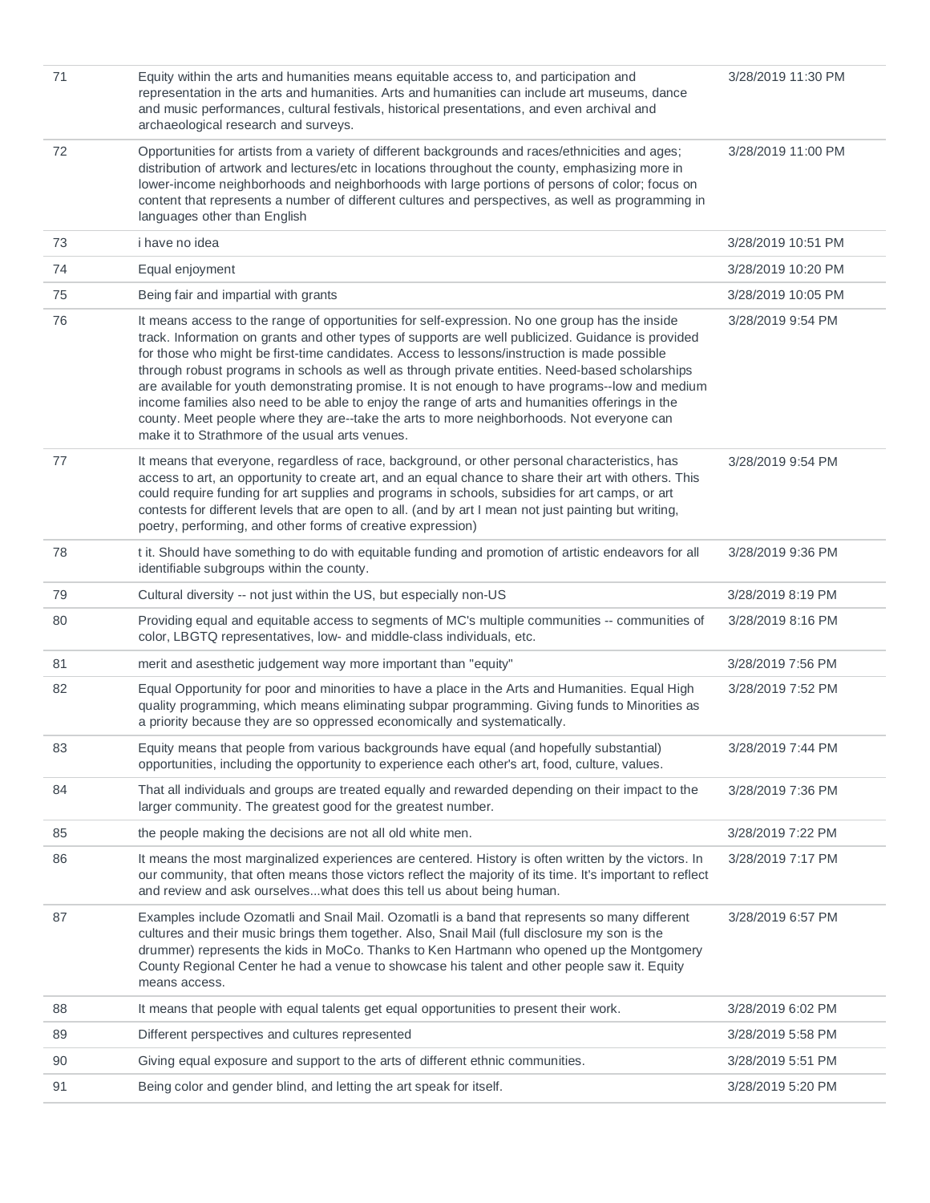| 71 | Equity within the arts and humanities means equitable access to, and participation and<br>representation in the arts and humanities. Arts and humanities can include art museums, dance<br>and music performances, cultural festivals, historical presentations, and even archival and<br>archaeological research and surveys.                                                                                                                                                                                                                                                                                                                                                                                                                                 | 3/28/2019 11:30 PM |
|----|----------------------------------------------------------------------------------------------------------------------------------------------------------------------------------------------------------------------------------------------------------------------------------------------------------------------------------------------------------------------------------------------------------------------------------------------------------------------------------------------------------------------------------------------------------------------------------------------------------------------------------------------------------------------------------------------------------------------------------------------------------------|--------------------|
| 72 | Opportunities for artists from a variety of different backgrounds and races/ethnicities and ages;<br>distribution of artwork and lectures/etc in locations throughout the county, emphasizing more in<br>lower-income neighborhoods and neighborhoods with large portions of persons of color; focus on<br>content that represents a number of different cultures and perspectives, as well as programming in<br>languages other than English                                                                                                                                                                                                                                                                                                                  | 3/28/2019 11:00 PM |
| 73 | <i>i</i> have no idea                                                                                                                                                                                                                                                                                                                                                                                                                                                                                                                                                                                                                                                                                                                                          | 3/28/2019 10:51 PM |
| 74 | Equal enjoyment                                                                                                                                                                                                                                                                                                                                                                                                                                                                                                                                                                                                                                                                                                                                                | 3/28/2019 10:20 PM |
| 75 | Being fair and impartial with grants                                                                                                                                                                                                                                                                                                                                                                                                                                                                                                                                                                                                                                                                                                                           | 3/28/2019 10:05 PM |
| 76 | It means access to the range of opportunities for self-expression. No one group has the inside<br>track. Information on grants and other types of supports are well publicized. Guidance is provided<br>for those who might be first-time candidates. Access to lessons/instruction is made possible<br>through robust programs in schools as well as through private entities. Need-based scholarships<br>are available for youth demonstrating promise. It is not enough to have programs--low and medium<br>income families also need to be able to enjoy the range of arts and humanities offerings in the<br>county. Meet people where they are--take the arts to more neighborhoods. Not everyone can<br>make it to Strathmore of the usual arts venues. | 3/28/2019 9:54 PM  |
| 77 | It means that everyone, regardless of race, background, or other personal characteristics, has<br>access to art, an opportunity to create art, and an equal chance to share their art with others. This<br>could require funding for art supplies and programs in schools, subsidies for art camps, or art<br>contests for different levels that are open to all. (and by art I mean not just painting but writing,<br>poetry, performing, and other forms of creative expression)                                                                                                                                                                                                                                                                             | 3/28/2019 9:54 PM  |
| 78 | t it. Should have something to do with equitable funding and promotion of artistic endeavors for all<br>identifiable subgroups within the county.                                                                                                                                                                                                                                                                                                                                                                                                                                                                                                                                                                                                              | 3/28/2019 9:36 PM  |
| 79 | Cultural diversity -- not just within the US, but especially non-US                                                                                                                                                                                                                                                                                                                                                                                                                                                                                                                                                                                                                                                                                            | 3/28/2019 8:19 PM  |
| 80 | Providing equal and equitable access to segments of MC's multiple communities -- communities of<br>color, LBGTQ representatives, low- and middle-class individuals, etc.                                                                                                                                                                                                                                                                                                                                                                                                                                                                                                                                                                                       | 3/28/2019 8:16 PM  |
| 81 | merit and asesthetic judgement way more important than "equity"                                                                                                                                                                                                                                                                                                                                                                                                                                                                                                                                                                                                                                                                                                | 3/28/2019 7:56 PM  |
| 82 | Equal Opportunity for poor and minorities to have a place in the Arts and Humanities. Equal High<br>quality programming, which means eliminating subpar programming. Giving funds to Minorities as<br>a priority because they are so oppressed economically and systematically.                                                                                                                                                                                                                                                                                                                                                                                                                                                                                | 3/28/2019 7:52 PM  |
| 83 | Equity means that people from various backgrounds have equal (and hopefully substantial)<br>opportunities, including the opportunity to experience each other's art, food, culture, values.                                                                                                                                                                                                                                                                                                                                                                                                                                                                                                                                                                    | 3/28/2019 7:44 PM  |
| 84 | That all individuals and groups are treated equally and rewarded depending on their impact to the<br>larger community. The greatest good for the greatest number.                                                                                                                                                                                                                                                                                                                                                                                                                                                                                                                                                                                              | 3/28/2019 7:36 PM  |
| 85 | the people making the decisions are not all old white men.                                                                                                                                                                                                                                                                                                                                                                                                                                                                                                                                                                                                                                                                                                     | 3/28/2019 7:22 PM  |
| 86 | It means the most marginalized experiences are centered. History is often written by the victors. In<br>our community, that often means those victors reflect the majority of its time. It's important to reflect<br>and review and ask ourselveswhat does this tell us about being human.                                                                                                                                                                                                                                                                                                                                                                                                                                                                     | 3/28/2019 7:17 PM  |
| 87 | Examples include Ozomatli and Snail Mail. Ozomatli is a band that represents so many different<br>cultures and their music brings them together. Also, Snail Mail (full disclosure my son is the<br>drummer) represents the kids in MoCo. Thanks to Ken Hartmann who opened up the Montgomery<br>County Regional Center he had a venue to showcase his talent and other people saw it. Equity<br>means access.                                                                                                                                                                                                                                                                                                                                                 | 3/28/2019 6:57 PM  |
| 88 | It means that people with equal talents get equal opportunities to present their work.                                                                                                                                                                                                                                                                                                                                                                                                                                                                                                                                                                                                                                                                         | 3/28/2019 6:02 PM  |
| 89 | Different perspectives and cultures represented                                                                                                                                                                                                                                                                                                                                                                                                                                                                                                                                                                                                                                                                                                                | 3/28/2019 5:58 PM  |
| 90 | Giving equal exposure and support to the arts of different ethnic communities.                                                                                                                                                                                                                                                                                                                                                                                                                                                                                                                                                                                                                                                                                 | 3/28/2019 5:51 PM  |
| 91 | Being color and gender blind, and letting the art speak for itself.                                                                                                                                                                                                                                                                                                                                                                                                                                                                                                                                                                                                                                                                                            | 3/28/2019 5:20 PM  |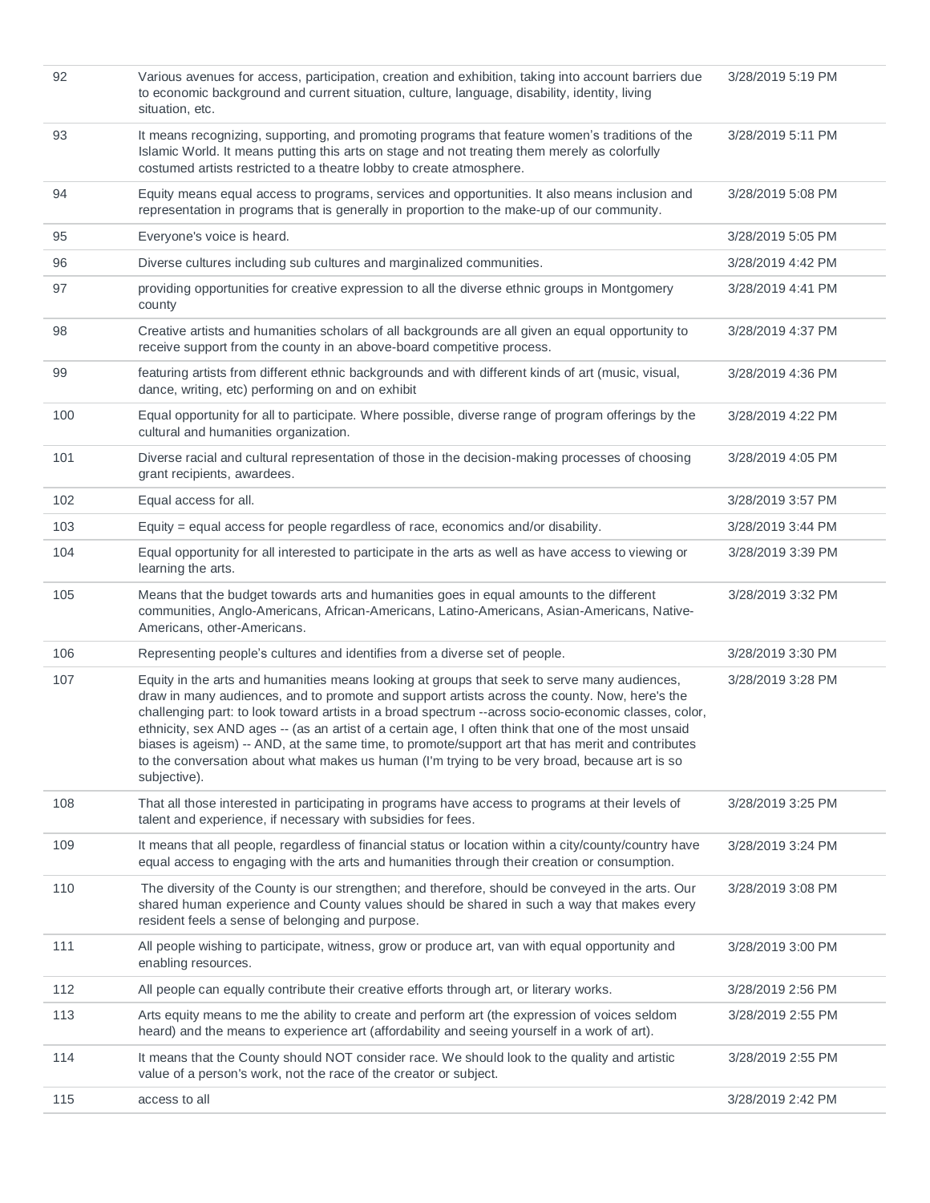| 92  | Various avenues for access, participation, creation and exhibition, taking into account barriers due<br>to economic background and current situation, culture, language, disability, identity, living<br>situation, etc.                                                                                                                                                                                                                                                                                                                                                                                                            | 3/28/2019 5:19 PM |
|-----|-------------------------------------------------------------------------------------------------------------------------------------------------------------------------------------------------------------------------------------------------------------------------------------------------------------------------------------------------------------------------------------------------------------------------------------------------------------------------------------------------------------------------------------------------------------------------------------------------------------------------------------|-------------------|
| 93  | It means recognizing, supporting, and promoting programs that feature women's traditions of the<br>Islamic World. It means putting this arts on stage and not treating them merely as colorfully<br>costumed artists restricted to a theatre lobby to create atmosphere.                                                                                                                                                                                                                                                                                                                                                            | 3/28/2019 5:11 PM |
| 94  | Equity means equal access to programs, services and opportunities. It also means inclusion and<br>representation in programs that is generally in proportion to the make-up of our community.                                                                                                                                                                                                                                                                                                                                                                                                                                       | 3/28/2019 5:08 PM |
| 95  | Everyone's voice is heard.                                                                                                                                                                                                                                                                                                                                                                                                                                                                                                                                                                                                          | 3/28/2019 5:05 PM |
| 96  | Diverse cultures including sub cultures and marginalized communities.                                                                                                                                                                                                                                                                                                                                                                                                                                                                                                                                                               | 3/28/2019 4:42 PM |
| 97  | providing opportunities for creative expression to all the diverse ethnic groups in Montgomery<br>county                                                                                                                                                                                                                                                                                                                                                                                                                                                                                                                            | 3/28/2019 4:41 PM |
| 98  | Creative artists and humanities scholars of all backgrounds are all given an equal opportunity to<br>receive support from the county in an above-board competitive process.                                                                                                                                                                                                                                                                                                                                                                                                                                                         | 3/28/2019 4:37 PM |
| 99  | featuring artists from different ethnic backgrounds and with different kinds of art (music, visual,<br>dance, writing, etc) performing on and on exhibit                                                                                                                                                                                                                                                                                                                                                                                                                                                                            | 3/28/2019 4:36 PM |
| 100 | Equal opportunity for all to participate. Where possible, diverse range of program offerings by the<br>cultural and humanities organization.                                                                                                                                                                                                                                                                                                                                                                                                                                                                                        | 3/28/2019 4:22 PM |
| 101 | Diverse racial and cultural representation of those in the decision-making processes of choosing<br>grant recipients, awardees.                                                                                                                                                                                                                                                                                                                                                                                                                                                                                                     | 3/28/2019 4:05 PM |
| 102 | Equal access for all.                                                                                                                                                                                                                                                                                                                                                                                                                                                                                                                                                                                                               | 3/28/2019 3:57 PM |
| 103 | Equity = equal access for people regardless of race, economics and/or disability.                                                                                                                                                                                                                                                                                                                                                                                                                                                                                                                                                   | 3/28/2019 3:44 PM |
| 104 | Equal opportunity for all interested to participate in the arts as well as have access to viewing or<br>learning the arts.                                                                                                                                                                                                                                                                                                                                                                                                                                                                                                          | 3/28/2019 3:39 PM |
| 105 | Means that the budget towards arts and humanities goes in equal amounts to the different<br>communities, Anglo-Americans, African-Americans, Latino-Americans, Asian-Americans, Native-<br>Americans, other-Americans.                                                                                                                                                                                                                                                                                                                                                                                                              | 3/28/2019 3:32 PM |
| 106 | Representing people's cultures and identifies from a diverse set of people.                                                                                                                                                                                                                                                                                                                                                                                                                                                                                                                                                         | 3/28/2019 3:30 PM |
| 107 | Equity in the arts and humanities means looking at groups that seek to serve many audiences,<br>draw in many audiences, and to promote and support artists across the county. Now, here's the<br>challenging part: to look toward artists in a broad spectrum --across socio-economic classes, color,<br>ethnicity, sex AND ages -- (as an artist of a certain age, I often think that one of the most unsaid<br>biases is ageism) -- AND, at the same time, to promote/support art that has merit and contributes<br>to the conversation about what makes us human (I'm trying to be very broad, because art is so<br>subjective). | 3/28/2019 3:28 PM |
| 108 | That all those interested in participating in programs have access to programs at their levels of<br>talent and experience, if necessary with subsidies for fees.                                                                                                                                                                                                                                                                                                                                                                                                                                                                   | 3/28/2019 3:25 PM |
| 109 | It means that all people, regardless of financial status or location within a city/county/country have<br>equal access to engaging with the arts and humanities through their creation or consumption.                                                                                                                                                                                                                                                                                                                                                                                                                              | 3/28/2019 3:24 PM |
| 110 | The diversity of the County is our strengthen; and therefore, should be conveyed in the arts. Our<br>shared human experience and County values should be shared in such a way that makes every<br>resident feels a sense of belonging and purpose.                                                                                                                                                                                                                                                                                                                                                                                  | 3/28/2019 3:08 PM |
| 111 | All people wishing to participate, witness, grow or produce art, van with equal opportunity and<br>enabling resources.                                                                                                                                                                                                                                                                                                                                                                                                                                                                                                              | 3/28/2019 3:00 PM |
| 112 | All people can equally contribute their creative efforts through art, or literary works.                                                                                                                                                                                                                                                                                                                                                                                                                                                                                                                                            | 3/28/2019 2:56 PM |
| 113 | Arts equity means to me the ability to create and perform art (the expression of voices seldom<br>heard) and the means to experience art (affordability and seeing yourself in a work of art).                                                                                                                                                                                                                                                                                                                                                                                                                                      | 3/28/2019 2:55 PM |
| 114 | It means that the County should NOT consider race. We should look to the quality and artistic<br>value of a person's work, not the race of the creator or subject.                                                                                                                                                                                                                                                                                                                                                                                                                                                                  | 3/28/2019 2:55 PM |
| 115 | access to all                                                                                                                                                                                                                                                                                                                                                                                                                                                                                                                                                                                                                       | 3/28/2019 2:42 PM |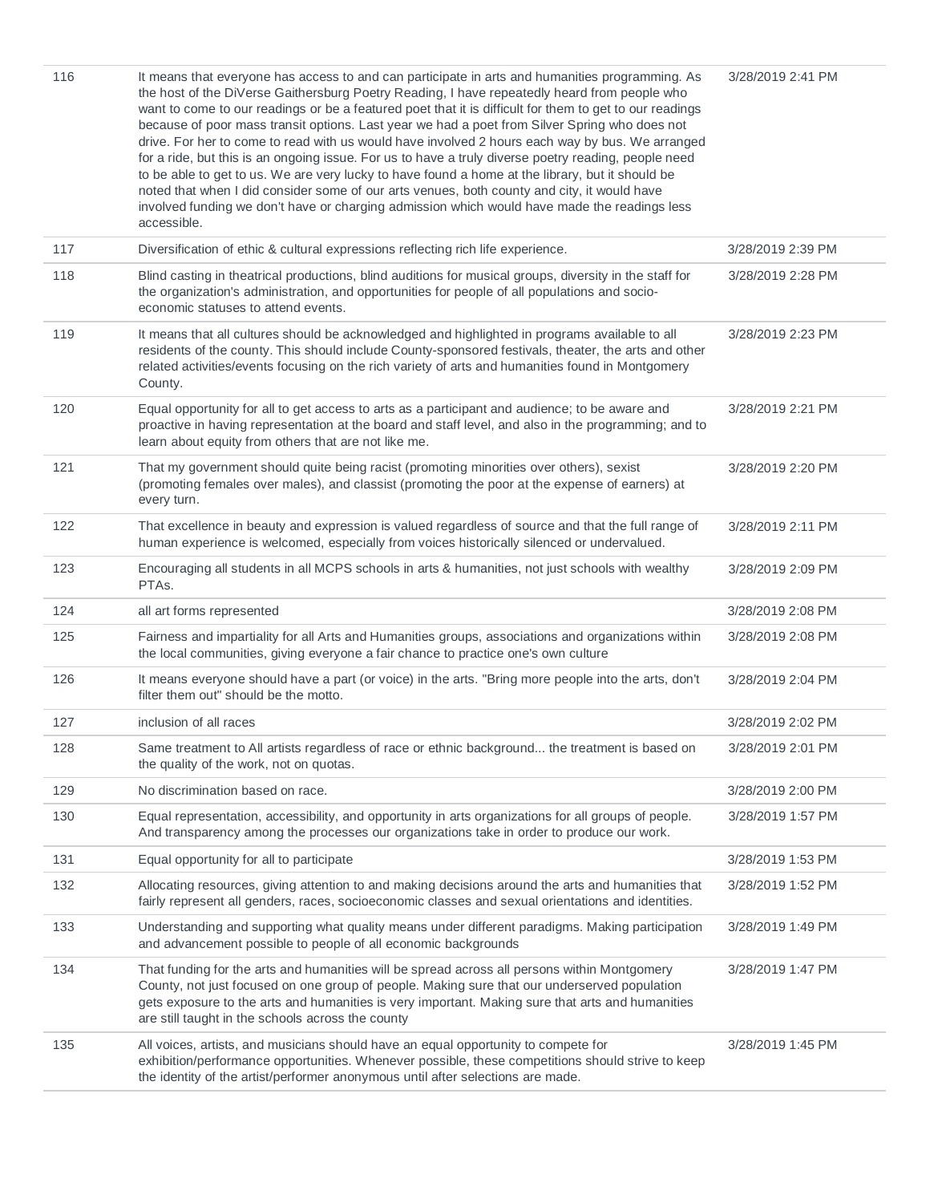| 116 | It means that everyone has access to and can participate in arts and humanities programming. As<br>the host of the DiVerse Gaithersburg Poetry Reading, I have repeatedly heard from people who<br>want to come to our readings or be a featured poet that it is difficult for them to get to our readings<br>because of poor mass transit options. Last year we had a poet from Silver Spring who does not<br>drive. For her to come to read with us would have involved 2 hours each way by bus. We arranged<br>for a ride, but this is an ongoing issue. For us to have a truly diverse poetry reading, people need<br>to be able to get to us. We are very lucky to have found a home at the library, but it should be<br>noted that when I did consider some of our arts venues, both county and city, it would have<br>involved funding we don't have or charging admission which would have made the readings less<br>accessible. | 3/28/2019 2:41 PM |
|-----|------------------------------------------------------------------------------------------------------------------------------------------------------------------------------------------------------------------------------------------------------------------------------------------------------------------------------------------------------------------------------------------------------------------------------------------------------------------------------------------------------------------------------------------------------------------------------------------------------------------------------------------------------------------------------------------------------------------------------------------------------------------------------------------------------------------------------------------------------------------------------------------------------------------------------------------|-------------------|
| 117 | Diversification of ethic & cultural expressions reflecting rich life experience.                                                                                                                                                                                                                                                                                                                                                                                                                                                                                                                                                                                                                                                                                                                                                                                                                                                         | 3/28/2019 2:39 PM |
| 118 | Blind casting in theatrical productions, blind auditions for musical groups, diversity in the staff for<br>the organization's administration, and opportunities for people of all populations and socio-<br>economic statuses to attend events.                                                                                                                                                                                                                                                                                                                                                                                                                                                                                                                                                                                                                                                                                          | 3/28/2019 2:28 PM |
| 119 | It means that all cultures should be acknowledged and highlighted in programs available to all<br>residents of the county. This should include County-sponsored festivals, theater, the arts and other<br>related activities/events focusing on the rich variety of arts and humanities found in Montgomery<br>County.                                                                                                                                                                                                                                                                                                                                                                                                                                                                                                                                                                                                                   | 3/28/2019 2:23 PM |
| 120 | Equal opportunity for all to get access to arts as a participant and audience; to be aware and<br>proactive in having representation at the board and staff level, and also in the programming; and to<br>learn about equity from others that are not like me.                                                                                                                                                                                                                                                                                                                                                                                                                                                                                                                                                                                                                                                                           | 3/28/2019 2:21 PM |
| 121 | That my government should quite being racist (promoting minorities over others), sexist<br>(promoting females over males), and classist (promoting the poor at the expense of earners) at<br>every turn.                                                                                                                                                                                                                                                                                                                                                                                                                                                                                                                                                                                                                                                                                                                                 | 3/28/2019 2:20 PM |
| 122 | That excellence in beauty and expression is valued regardless of source and that the full range of<br>human experience is welcomed, especially from voices historically silenced or undervalued.                                                                                                                                                                                                                                                                                                                                                                                                                                                                                                                                                                                                                                                                                                                                         | 3/28/2019 2:11 PM |
| 123 | Encouraging all students in all MCPS schools in arts & humanities, not just schools with wealthy<br>PTAs.                                                                                                                                                                                                                                                                                                                                                                                                                                                                                                                                                                                                                                                                                                                                                                                                                                | 3/28/2019 2:09 PM |
| 124 | all art forms represented                                                                                                                                                                                                                                                                                                                                                                                                                                                                                                                                                                                                                                                                                                                                                                                                                                                                                                                | 3/28/2019 2:08 PM |
| 125 | Fairness and impartiality for all Arts and Humanities groups, associations and organizations within<br>the local communities, giving everyone a fair chance to practice one's own culture                                                                                                                                                                                                                                                                                                                                                                                                                                                                                                                                                                                                                                                                                                                                                | 3/28/2019 2:08 PM |
| 126 | It means everyone should have a part (or voice) in the arts. "Bring more people into the arts, don't<br>filter them out" should be the motto.                                                                                                                                                                                                                                                                                                                                                                                                                                                                                                                                                                                                                                                                                                                                                                                            | 3/28/2019 2:04 PM |
| 127 | inclusion of all races                                                                                                                                                                                                                                                                                                                                                                                                                                                                                                                                                                                                                                                                                                                                                                                                                                                                                                                   | 3/28/2019 2:02 PM |
| 128 | Same treatment to All artists regardless of race or ethnic background the treatment is based on<br>the quality of the work, not on quotas.                                                                                                                                                                                                                                                                                                                                                                                                                                                                                                                                                                                                                                                                                                                                                                                               | 3/28/2019 2:01 PM |
| 129 | No discrimination based on race.                                                                                                                                                                                                                                                                                                                                                                                                                                                                                                                                                                                                                                                                                                                                                                                                                                                                                                         | 3/28/2019 2:00 PM |
| 130 | Equal representation, accessibility, and opportunity in arts organizations for all groups of people.<br>And transparency among the processes our organizations take in order to produce our work.                                                                                                                                                                                                                                                                                                                                                                                                                                                                                                                                                                                                                                                                                                                                        | 3/28/2019 1:57 PM |
| 131 | Equal opportunity for all to participate                                                                                                                                                                                                                                                                                                                                                                                                                                                                                                                                                                                                                                                                                                                                                                                                                                                                                                 | 3/28/2019 1:53 PM |
| 132 | Allocating resources, giving attention to and making decisions around the arts and humanities that<br>fairly represent all genders, races, socioeconomic classes and sexual orientations and identities.                                                                                                                                                                                                                                                                                                                                                                                                                                                                                                                                                                                                                                                                                                                                 | 3/28/2019 1:52 PM |
| 133 | Understanding and supporting what quality means under different paradigms. Making participation<br>and advancement possible to people of all economic backgrounds                                                                                                                                                                                                                                                                                                                                                                                                                                                                                                                                                                                                                                                                                                                                                                        | 3/28/2019 1:49 PM |
| 134 | That funding for the arts and humanities will be spread across all persons within Montgomery<br>County, not just focused on one group of people. Making sure that our underserved population<br>gets exposure to the arts and humanities is very important. Making sure that arts and humanities<br>are still taught in the schools across the county                                                                                                                                                                                                                                                                                                                                                                                                                                                                                                                                                                                    | 3/28/2019 1:47 PM |
| 135 | All voices, artists, and musicians should have an equal opportunity to compete for<br>exhibition/performance opportunities. Whenever possible, these competitions should strive to keep<br>the identity of the artist/performer anonymous until after selections are made.                                                                                                                                                                                                                                                                                                                                                                                                                                                                                                                                                                                                                                                               | 3/28/2019 1:45 PM |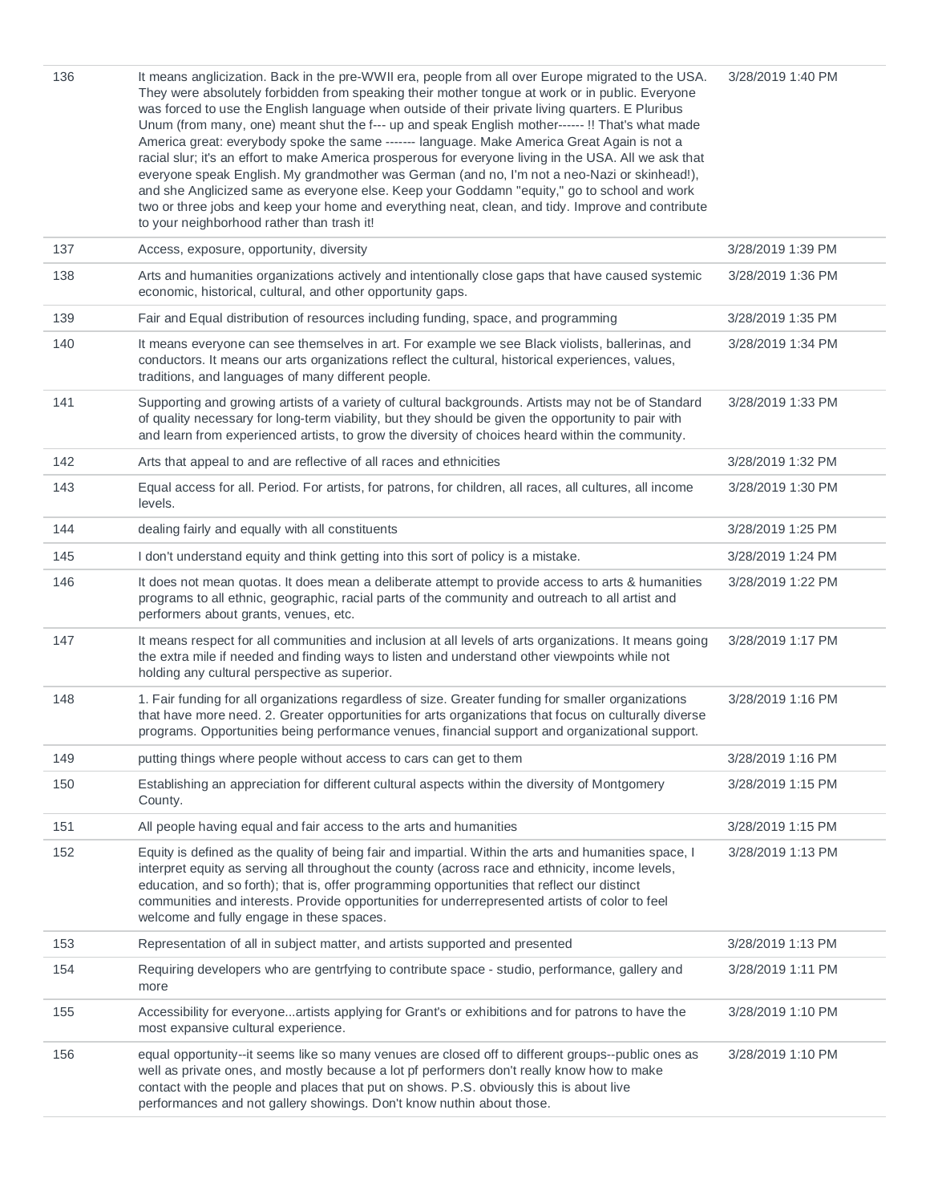| 136 | It means anglicization. Back in the pre-WWII era, people from all over Europe migrated to the USA.<br>They were absolutely forbidden from speaking their mother tongue at work or in public. Everyone<br>was forced to use the English language when outside of their private living quarters. E Pluribus<br>Unum (from many, one) meant shut the f--- up and speak English mother------!! That's what made<br>America great: everybody spoke the same ------- language. Make America Great Again is not a<br>racial slur; it's an effort to make America prosperous for everyone living in the USA. All we ask that<br>everyone speak English. My grandmother was German (and no, I'm not a neo-Nazi or skinhead!),<br>and she Anglicized same as everyone else. Keep your Goddamn "equity," go to school and work<br>two or three jobs and keep your home and everything neat, clean, and tidy. Improve and contribute<br>to your neighborhood rather than trash it! | 3/28/2019 1:40 PM |
|-----|------------------------------------------------------------------------------------------------------------------------------------------------------------------------------------------------------------------------------------------------------------------------------------------------------------------------------------------------------------------------------------------------------------------------------------------------------------------------------------------------------------------------------------------------------------------------------------------------------------------------------------------------------------------------------------------------------------------------------------------------------------------------------------------------------------------------------------------------------------------------------------------------------------------------------------------------------------------------|-------------------|
| 137 | Access, exposure, opportunity, diversity                                                                                                                                                                                                                                                                                                                                                                                                                                                                                                                                                                                                                                                                                                                                                                                                                                                                                                                               | 3/28/2019 1:39 PM |
| 138 | Arts and humanities organizations actively and intentionally close gaps that have caused systemic<br>economic, historical, cultural, and other opportunity gaps.                                                                                                                                                                                                                                                                                                                                                                                                                                                                                                                                                                                                                                                                                                                                                                                                       | 3/28/2019 1:36 PM |
| 139 | Fair and Equal distribution of resources including funding, space, and programming                                                                                                                                                                                                                                                                                                                                                                                                                                                                                                                                                                                                                                                                                                                                                                                                                                                                                     | 3/28/2019 1:35 PM |
| 140 | It means everyone can see themselves in art. For example we see Black violists, ballerinas, and<br>conductors. It means our arts organizations reflect the cultural, historical experiences, values,<br>traditions, and languages of many different people.                                                                                                                                                                                                                                                                                                                                                                                                                                                                                                                                                                                                                                                                                                            | 3/28/2019 1:34 PM |
| 141 | Supporting and growing artists of a variety of cultural backgrounds. Artists may not be of Standard<br>of quality necessary for long-term viability, but they should be given the opportunity to pair with<br>and learn from experienced artists, to grow the diversity of choices heard within the community.                                                                                                                                                                                                                                                                                                                                                                                                                                                                                                                                                                                                                                                         | 3/28/2019 1:33 PM |
| 142 | Arts that appeal to and are reflective of all races and ethnicities                                                                                                                                                                                                                                                                                                                                                                                                                                                                                                                                                                                                                                                                                                                                                                                                                                                                                                    | 3/28/2019 1:32 PM |
| 143 | Equal access for all. Period. For artists, for patrons, for children, all races, all cultures, all income<br>levels.                                                                                                                                                                                                                                                                                                                                                                                                                                                                                                                                                                                                                                                                                                                                                                                                                                                   | 3/28/2019 1:30 PM |
| 144 | dealing fairly and equally with all constituents                                                                                                                                                                                                                                                                                                                                                                                                                                                                                                                                                                                                                                                                                                                                                                                                                                                                                                                       | 3/28/2019 1:25 PM |
| 145 | I don't understand equity and think getting into this sort of policy is a mistake.                                                                                                                                                                                                                                                                                                                                                                                                                                                                                                                                                                                                                                                                                                                                                                                                                                                                                     | 3/28/2019 1:24 PM |
| 146 | It does not mean quotas. It does mean a deliberate attempt to provide access to arts & humanities<br>programs to all ethnic, geographic, racial parts of the community and outreach to all artist and<br>performers about grants, venues, etc.                                                                                                                                                                                                                                                                                                                                                                                                                                                                                                                                                                                                                                                                                                                         | 3/28/2019 1:22 PM |
| 147 | It means respect for all communities and inclusion at all levels of arts organizations. It means going<br>the extra mile if needed and finding ways to listen and understand other viewpoints while not<br>holding any cultural perspective as superior.                                                                                                                                                                                                                                                                                                                                                                                                                                                                                                                                                                                                                                                                                                               | 3/28/2019 1:17 PM |
| 148 | 1. Fair funding for all organizations regardless of size. Greater funding for smaller organizations<br>that have more need. 2. Greater opportunities for arts organizations that focus on culturally diverse<br>programs. Opportunities being performance venues, financial support and organizational support.                                                                                                                                                                                                                                                                                                                                                                                                                                                                                                                                                                                                                                                        | 3/28/2019 1:16 PM |
| 149 | putting things where people without access to cars can get to them                                                                                                                                                                                                                                                                                                                                                                                                                                                                                                                                                                                                                                                                                                                                                                                                                                                                                                     | 3/28/2019 1:16 PM |
| 150 | Establishing an appreciation for different cultural aspects within the diversity of Montgomery<br>County.                                                                                                                                                                                                                                                                                                                                                                                                                                                                                                                                                                                                                                                                                                                                                                                                                                                              | 3/28/2019 1:15 PM |
| 151 | All people having equal and fair access to the arts and humanities                                                                                                                                                                                                                                                                                                                                                                                                                                                                                                                                                                                                                                                                                                                                                                                                                                                                                                     | 3/28/2019 1:15 PM |
| 152 | Equity is defined as the quality of being fair and impartial. Within the arts and humanities space, I<br>interpret equity as serving all throughout the county (across race and ethnicity, income levels,<br>education, and so forth); that is, offer programming opportunities that reflect our distinct<br>communities and interests. Provide opportunities for underrepresented artists of color to feel<br>welcome and fully engage in these spaces.                                                                                                                                                                                                                                                                                                                                                                                                                                                                                                               | 3/28/2019 1:13 PM |
| 153 | Representation of all in subject matter, and artists supported and presented                                                                                                                                                                                                                                                                                                                                                                                                                                                                                                                                                                                                                                                                                                                                                                                                                                                                                           | 3/28/2019 1:13 PM |
| 154 | Requiring developers who are gentrfying to contribute space - studio, performance, gallery and<br>more                                                                                                                                                                                                                                                                                                                                                                                                                                                                                                                                                                                                                                                                                                                                                                                                                                                                 | 3/28/2019 1:11 PM |
| 155 | Accessibility for everyoneartists applying for Grant's or exhibitions and for patrons to have the<br>most expansive cultural experience.                                                                                                                                                                                                                                                                                                                                                                                                                                                                                                                                                                                                                                                                                                                                                                                                                               | 3/28/2019 1:10 PM |
| 156 | equal opportunity--it seems like so many venues are closed off to different groups--public ones as<br>well as private ones, and mostly because a lot pf performers don't really know how to make<br>contact with the people and places that put on shows. P.S. obviously this is about live<br>performances and not gallery showings. Don't know nuthin about those.                                                                                                                                                                                                                                                                                                                                                                                                                                                                                                                                                                                                   | 3/28/2019 1:10 PM |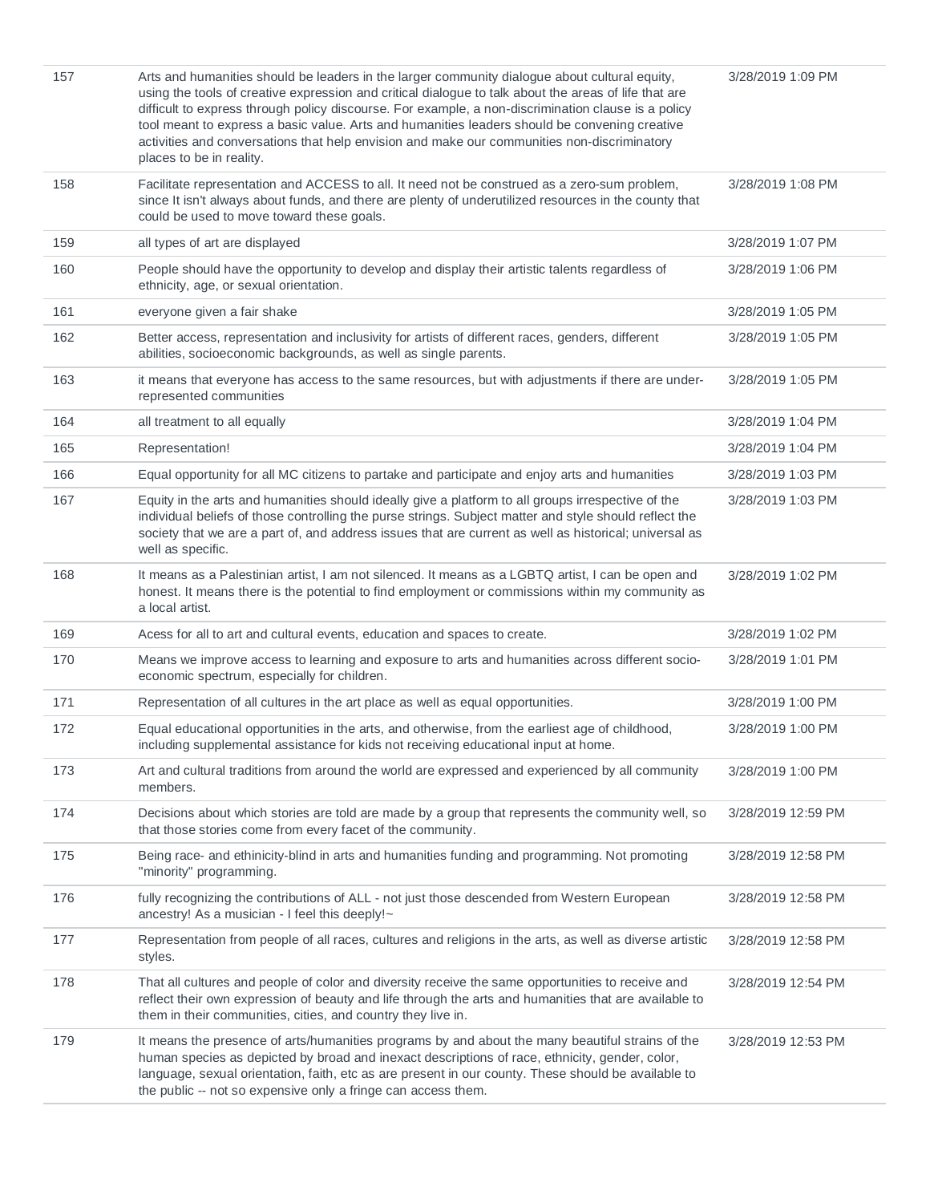| 157 | Arts and humanities should be leaders in the larger community dialogue about cultural equity,<br>using the tools of creative expression and critical dialogue to talk about the areas of life that are<br>difficult to express through policy discourse. For example, a non-discrimination clause is a policy<br>tool meant to express a basic value. Arts and humanities leaders should be convening creative<br>activities and conversations that help envision and make our communities non-discriminatory<br>places to be in reality. | 3/28/2019 1:09 PM  |
|-----|-------------------------------------------------------------------------------------------------------------------------------------------------------------------------------------------------------------------------------------------------------------------------------------------------------------------------------------------------------------------------------------------------------------------------------------------------------------------------------------------------------------------------------------------|--------------------|
| 158 | Facilitate representation and ACCESS to all. It need not be construed as a zero-sum problem,<br>since It isn't always about funds, and there are plenty of underutilized resources in the county that<br>could be used to move toward these goals.                                                                                                                                                                                                                                                                                        | 3/28/2019 1:08 PM  |
| 159 | all types of art are displayed                                                                                                                                                                                                                                                                                                                                                                                                                                                                                                            | 3/28/2019 1:07 PM  |
| 160 | People should have the opportunity to develop and display their artistic talents regardless of<br>ethnicity, age, or sexual orientation.                                                                                                                                                                                                                                                                                                                                                                                                  | 3/28/2019 1:06 PM  |
| 161 | everyone given a fair shake                                                                                                                                                                                                                                                                                                                                                                                                                                                                                                               | 3/28/2019 1:05 PM  |
| 162 | Better access, representation and inclusivity for artists of different races, genders, different<br>abilities, socioeconomic backgrounds, as well as single parents.                                                                                                                                                                                                                                                                                                                                                                      | 3/28/2019 1:05 PM  |
| 163 | it means that everyone has access to the same resources, but with adjustments if there are under-<br>represented communities                                                                                                                                                                                                                                                                                                                                                                                                              | 3/28/2019 1:05 PM  |
| 164 | all treatment to all equally                                                                                                                                                                                                                                                                                                                                                                                                                                                                                                              | 3/28/2019 1:04 PM  |
| 165 | Representation!                                                                                                                                                                                                                                                                                                                                                                                                                                                                                                                           | 3/28/2019 1:04 PM  |
| 166 | Equal opportunity for all MC citizens to partake and participate and enjoy arts and humanities                                                                                                                                                                                                                                                                                                                                                                                                                                            | 3/28/2019 1:03 PM  |
| 167 | Equity in the arts and humanities should ideally give a platform to all groups irrespective of the<br>individual beliefs of those controlling the purse strings. Subject matter and style should reflect the<br>society that we are a part of, and address issues that are current as well as historical; universal as<br>well as specific.                                                                                                                                                                                               | 3/28/2019 1:03 PM  |
| 168 | It means as a Palestinian artist, I am not silenced. It means as a LGBTQ artist, I can be open and<br>honest. It means there is the potential to find employment or commissions within my community as<br>a local artist.                                                                                                                                                                                                                                                                                                                 | 3/28/2019 1:02 PM  |
| 169 | Acess for all to art and cultural events, education and spaces to create.                                                                                                                                                                                                                                                                                                                                                                                                                                                                 | 3/28/2019 1:02 PM  |
| 170 | Means we improve access to learning and exposure to arts and humanities across different socio-<br>economic spectrum, especially for children.                                                                                                                                                                                                                                                                                                                                                                                            | 3/28/2019 1:01 PM  |
| 171 | Representation of all cultures in the art place as well as equal opportunities.                                                                                                                                                                                                                                                                                                                                                                                                                                                           | 3/28/2019 1:00 PM  |
| 172 | Equal educational opportunities in the arts, and otherwise, from the earliest age of childhood,<br>including supplemental assistance for kids not receiving educational input at home.                                                                                                                                                                                                                                                                                                                                                    | 3/28/2019 1:00 PM  |
| 173 | Art and cultural traditions from around the world are expressed and experienced by all community<br>members.                                                                                                                                                                                                                                                                                                                                                                                                                              | 3/28/2019 1:00 PM  |
| 174 | Decisions about which stories are told are made by a group that represents the community well, so<br>that those stories come from every facet of the community.                                                                                                                                                                                                                                                                                                                                                                           | 3/28/2019 12:59 PM |
| 175 | Being race- and ethinicity-blind in arts and humanities funding and programming. Not promoting<br>"minority" programming.                                                                                                                                                                                                                                                                                                                                                                                                                 | 3/28/2019 12:58 PM |
| 176 | fully recognizing the contributions of ALL - not just those descended from Western European<br>ancestry! As a musician - I feel this deeply!~                                                                                                                                                                                                                                                                                                                                                                                             | 3/28/2019 12:58 PM |
| 177 | Representation from people of all races, cultures and religions in the arts, as well as diverse artistic<br>styles.                                                                                                                                                                                                                                                                                                                                                                                                                       | 3/28/2019 12:58 PM |
| 178 | That all cultures and people of color and diversity receive the same opportunities to receive and<br>reflect their own expression of beauty and life through the arts and humanities that are available to<br>them in their communities, cities, and country they live in.                                                                                                                                                                                                                                                                | 3/28/2019 12:54 PM |
| 179 | It means the presence of arts/humanities programs by and about the many beautiful strains of the<br>human species as depicted by broad and inexact descriptions of race, ethnicity, gender, color,<br>language, sexual orientation, faith, etc as are present in our county. These should be available to<br>the public -- not so expensive only a fringe can access them.                                                                                                                                                                | 3/28/2019 12:53 PM |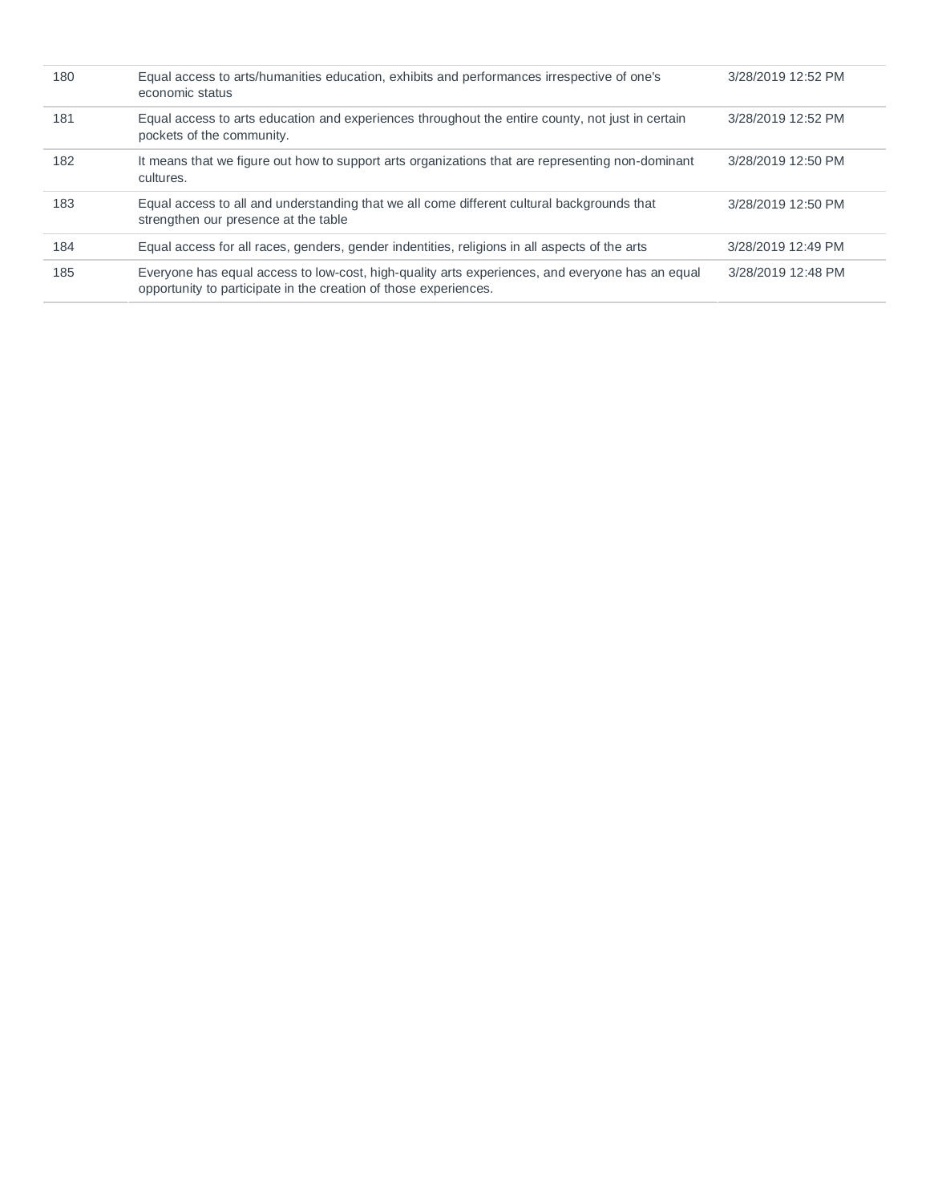| 180 | Equal access to arts/humanities education, exhibits and performances irrespective of one's<br>economic status                                                       | 3/28/2019 12:52 PM |
|-----|---------------------------------------------------------------------------------------------------------------------------------------------------------------------|--------------------|
| 181 | Equal access to arts education and experiences throughout the entire county, not just in certain<br>pockets of the community.                                       | 3/28/2019 12:52 PM |
| 182 | It means that we figure out how to support arts organizations that are representing non-dominant<br>cultures.                                                       | 3/28/2019 12:50 PM |
| 183 | Equal access to all and understanding that we all come different cultural backgrounds that<br>strengthen our presence at the table                                  | 3/28/2019 12:50 PM |
| 184 | Equal access for all races, genders, gender indentities, religions in all aspects of the arts                                                                       | 3/28/2019 12:49 PM |
| 185 | Everyone has equal access to low-cost, high-quality arts experiences, and everyone has an equal<br>opportunity to participate in the creation of those experiences. | 3/28/2019 12:48 PM |
|     |                                                                                                                                                                     |                    |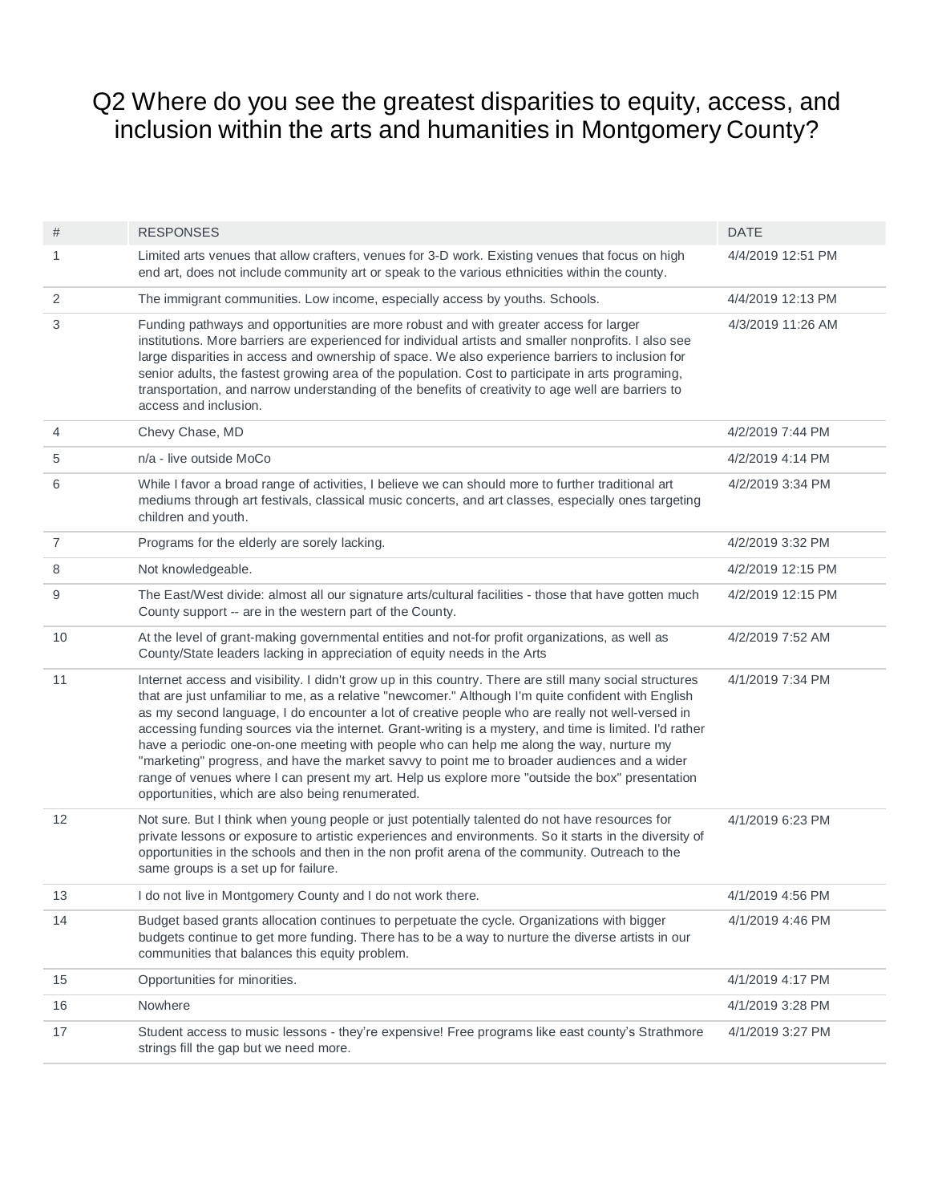## Q2 Where do you see the greatest disparities to equity, access, and inclusion within the arts and humanities in Montgomery County?

| #  | <b>RESPONSES</b>                                                                                                                                                                                                                                                                                                                                                                                                                                                                                                                                                                                                                                                                                                                                                                  | <b>DATE</b>       |
|----|-----------------------------------------------------------------------------------------------------------------------------------------------------------------------------------------------------------------------------------------------------------------------------------------------------------------------------------------------------------------------------------------------------------------------------------------------------------------------------------------------------------------------------------------------------------------------------------------------------------------------------------------------------------------------------------------------------------------------------------------------------------------------------------|-------------------|
| 1  | Limited arts venues that allow crafters, venues for 3-D work. Existing venues that focus on high<br>end art, does not include community art or speak to the various ethnicities within the county.                                                                                                                                                                                                                                                                                                                                                                                                                                                                                                                                                                                | 4/4/2019 12:51 PM |
| 2  | The immigrant communities. Low income, especially access by youths. Schools.                                                                                                                                                                                                                                                                                                                                                                                                                                                                                                                                                                                                                                                                                                      | 4/4/2019 12:13 PM |
| 3  | Funding pathways and opportunities are more robust and with greater access for larger<br>institutions. More barriers are experienced for individual artists and smaller nonprofits. I also see<br>large disparities in access and ownership of space. We also experience barriers to inclusion for<br>senior adults, the fastest growing area of the population. Cost to participate in arts programing,<br>transportation, and narrow understanding of the benefits of creativity to age well are barriers to<br>access and inclusion.                                                                                                                                                                                                                                           | 4/3/2019 11:26 AM |
| 4  | Chevy Chase, MD                                                                                                                                                                                                                                                                                                                                                                                                                                                                                                                                                                                                                                                                                                                                                                   | 4/2/2019 7:44 PM  |
| 5  | n/a - live outside MoCo                                                                                                                                                                                                                                                                                                                                                                                                                                                                                                                                                                                                                                                                                                                                                           | 4/2/2019 4:14 PM  |
| 6  | While I favor a broad range of activities, I believe we can should more to further traditional art<br>mediums through art festivals, classical music concerts, and art classes, especially ones targeting<br>children and youth.                                                                                                                                                                                                                                                                                                                                                                                                                                                                                                                                                  | 4/2/2019 3:34 PM  |
| 7  | Programs for the elderly are sorely lacking.                                                                                                                                                                                                                                                                                                                                                                                                                                                                                                                                                                                                                                                                                                                                      | 4/2/2019 3:32 PM  |
| 8  | Not knowledgeable.                                                                                                                                                                                                                                                                                                                                                                                                                                                                                                                                                                                                                                                                                                                                                                | 4/2/2019 12:15 PM |
| 9  | The East/West divide: almost all our signature arts/cultural facilities - those that have gotten much<br>County support -- are in the western part of the County.                                                                                                                                                                                                                                                                                                                                                                                                                                                                                                                                                                                                                 | 4/2/2019 12:15 PM |
| 10 | At the level of grant-making governmental entities and not-for profit organizations, as well as<br>County/State leaders lacking in appreciation of equity needs in the Arts                                                                                                                                                                                                                                                                                                                                                                                                                                                                                                                                                                                                       | 4/2/2019 7:52 AM  |
| 11 | Internet access and visibility. I didn't grow up in this country. There are still many social structures<br>that are just unfamiliar to me, as a relative "newcomer." Although I'm quite confident with English<br>as my second language, I do encounter a lot of creative people who are really not well-versed in<br>accessing funding sources via the internet. Grant-writing is a mystery, and time is limited. I'd rather<br>have a periodic one-on-one meeting with people who can help me along the way, nurture my<br>"marketing" progress, and have the market savvy to point me to broader audiences and a wider<br>range of venues where I can present my art. Help us explore more "outside the box" presentation<br>opportunities, which are also being renumerated. | 4/1/2019 7:34 PM  |
| 12 | Not sure. But I think when young people or just potentially talented do not have resources for<br>private lessons or exposure to artistic experiences and environments. So it starts in the diversity of<br>opportunities in the schools and then in the non profit arena of the community. Outreach to the<br>same groups is a set up for failure.                                                                                                                                                                                                                                                                                                                                                                                                                               | 4/1/2019 6:23 PM  |
| 13 | I do not live in Montgomery County and I do not work there.                                                                                                                                                                                                                                                                                                                                                                                                                                                                                                                                                                                                                                                                                                                       | 4/1/2019 4:56 PM  |
| 14 | Budget based grants allocation continues to perpetuate the cycle. Organizations with bigger<br>budgets continue to get more funding. There has to be a way to nurture the diverse artists in our<br>communities that balances this equity problem.                                                                                                                                                                                                                                                                                                                                                                                                                                                                                                                                | 4/1/2019 4:46 PM  |
| 15 | Opportunities for minorities.                                                                                                                                                                                                                                                                                                                                                                                                                                                                                                                                                                                                                                                                                                                                                     | 4/1/2019 4:17 PM  |
| 16 | Nowhere                                                                                                                                                                                                                                                                                                                                                                                                                                                                                                                                                                                                                                                                                                                                                                           | 4/1/2019 3:28 PM  |
| 17 | Student access to music lessons - they're expensive! Free programs like east county's Strathmore<br>strings fill the gap but we need more.                                                                                                                                                                                                                                                                                                                                                                                                                                                                                                                                                                                                                                        | 4/1/2019 3:27 PM  |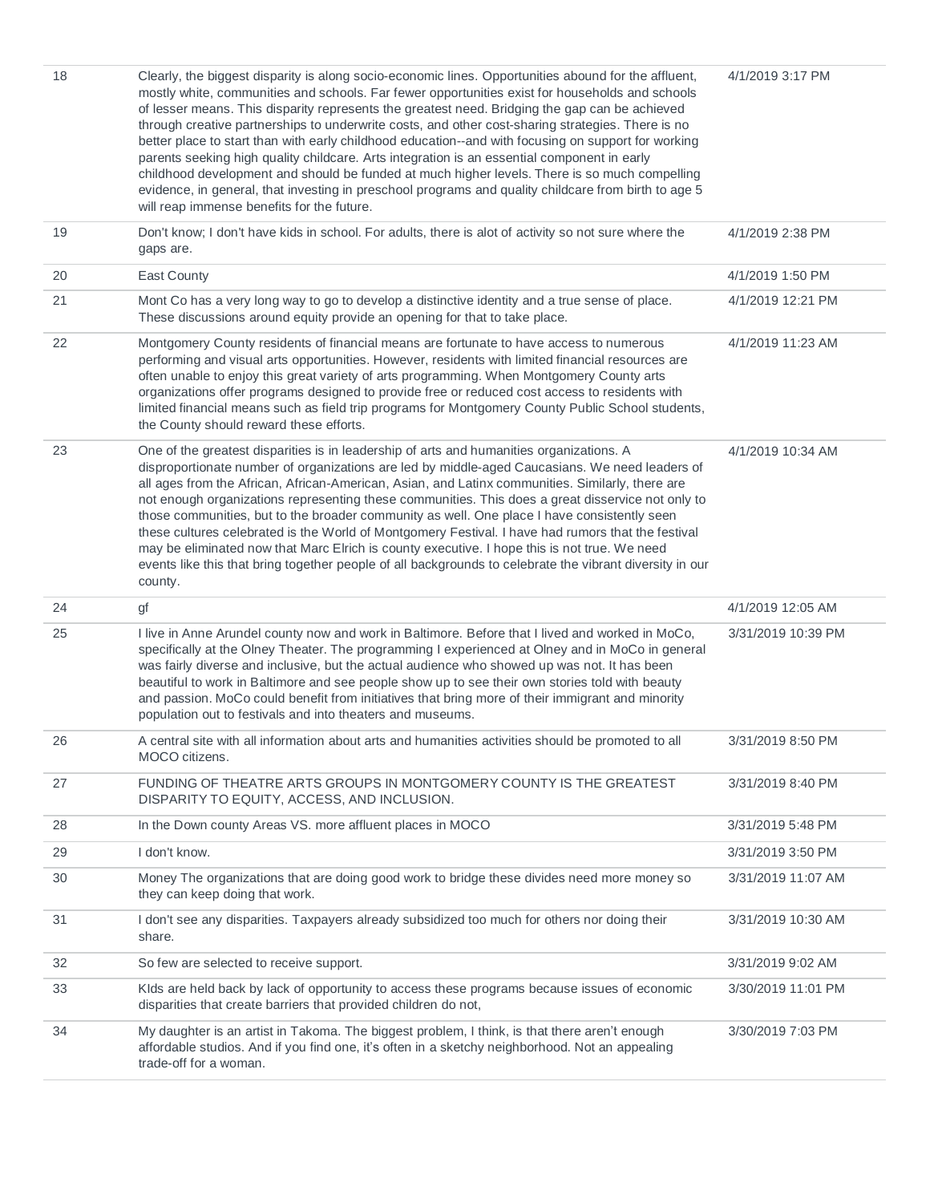| 18 | Clearly, the biggest disparity is along socio-economic lines. Opportunities abound for the affluent,<br>mostly white, communities and schools. Far fewer opportunities exist for households and schools<br>of lesser means. This disparity represents the greatest need. Bridging the gap can be achieved<br>through creative partnerships to underwrite costs, and other cost-sharing strategies. There is no<br>better place to start than with early childhood education--and with focusing on support for working<br>parents seeking high quality childcare. Arts integration is an essential component in early<br>childhood development and should be funded at much higher levels. There is so much compelling<br>evidence, in general, that investing in preschool programs and quality childcare from birth to age 5<br>will reap immense benefits for the future. | 4/1/2019 3:17 PM   |
|----|-----------------------------------------------------------------------------------------------------------------------------------------------------------------------------------------------------------------------------------------------------------------------------------------------------------------------------------------------------------------------------------------------------------------------------------------------------------------------------------------------------------------------------------------------------------------------------------------------------------------------------------------------------------------------------------------------------------------------------------------------------------------------------------------------------------------------------------------------------------------------------|--------------------|
| 19 | Don't know; I don't have kids in school. For adults, there is alot of activity so not sure where the<br>gaps are.                                                                                                                                                                                                                                                                                                                                                                                                                                                                                                                                                                                                                                                                                                                                                           | 4/1/2019 2:38 PM   |
| 20 | East County                                                                                                                                                                                                                                                                                                                                                                                                                                                                                                                                                                                                                                                                                                                                                                                                                                                                 | 4/1/2019 1:50 PM   |
| 21 | Mont Co has a very long way to go to develop a distinctive identity and a true sense of place.<br>These discussions around equity provide an opening for that to take place.                                                                                                                                                                                                                                                                                                                                                                                                                                                                                                                                                                                                                                                                                                | 4/1/2019 12:21 PM  |
| 22 | Montgomery County residents of financial means are fortunate to have access to numerous<br>performing and visual arts opportunities. However, residents with limited financial resources are<br>often unable to enjoy this great variety of arts programming. When Montgomery County arts<br>organizations offer programs designed to provide free or reduced cost access to residents with<br>limited financial means such as field trip programs for Montgomery County Public School students,<br>the County should reward these efforts.                                                                                                                                                                                                                                                                                                                                 | 4/1/2019 11:23 AM  |
| 23 | One of the greatest disparities is in leadership of arts and humanities organizations. A<br>disproportionate number of organizations are led by middle-aged Caucasians. We need leaders of<br>all ages from the African, African-American, Asian, and Latinx communities. Similarly, there are<br>not enough organizations representing these communities. This does a great disservice not only to<br>those communities, but to the broader community as well. One place I have consistently seen<br>these cultures celebrated is the World of Montgomery Festival. I have had rumors that the festival<br>may be eliminated now that Marc Elrich is county executive. I hope this is not true. We need<br>events like this that bring together people of all backgrounds to celebrate the vibrant diversity in our<br>county.                                             | 4/1/2019 10:34 AM  |
| 24 | gf                                                                                                                                                                                                                                                                                                                                                                                                                                                                                                                                                                                                                                                                                                                                                                                                                                                                          | 4/1/2019 12:05 AM  |
| 25 | I live in Anne Arundel county now and work in Baltimore. Before that I lived and worked in MoCo,<br>specifically at the Olney Theater. The programming I experienced at Olney and in MoCo in general<br>was fairly diverse and inclusive, but the actual audience who showed up was not. It has been<br>beautiful to work in Baltimore and see people show up to see their own stories told with beauty<br>and passion. MoCo could benefit from initiatives that bring more of their immigrant and minority<br>population out to festivals and into theaters and museums.                                                                                                                                                                                                                                                                                                   | 3/31/2019 10:39 PM |
| 26 | A central site with all information about arts and humanities activities should be promoted to all<br>MOCO citizens.                                                                                                                                                                                                                                                                                                                                                                                                                                                                                                                                                                                                                                                                                                                                                        | 3/31/2019 8:50 PM  |
| 27 | FUNDING OF THEATRE ARTS GROUPS IN MONTGOMERY COUNTY IS THE GREATEST<br>DISPARITY TO EQUITY, ACCESS, AND INCLUSION.                                                                                                                                                                                                                                                                                                                                                                                                                                                                                                                                                                                                                                                                                                                                                          | 3/31/2019 8:40 PM  |
| 28 | In the Down county Areas VS. more affluent places in MOCO                                                                                                                                                                                                                                                                                                                                                                                                                                                                                                                                                                                                                                                                                                                                                                                                                   | 3/31/2019 5:48 PM  |
| 29 | I don't know.                                                                                                                                                                                                                                                                                                                                                                                                                                                                                                                                                                                                                                                                                                                                                                                                                                                               | 3/31/2019 3:50 PM  |
| 30 | Money The organizations that are doing good work to bridge these divides need more money so<br>they can keep doing that work.                                                                                                                                                                                                                                                                                                                                                                                                                                                                                                                                                                                                                                                                                                                                               | 3/31/2019 11:07 AM |
| 31 | I don't see any disparities. Taxpayers already subsidized too much for others nor doing their<br>share.                                                                                                                                                                                                                                                                                                                                                                                                                                                                                                                                                                                                                                                                                                                                                                     | 3/31/2019 10:30 AM |
| 32 | So few are selected to receive support.                                                                                                                                                                                                                                                                                                                                                                                                                                                                                                                                                                                                                                                                                                                                                                                                                                     | 3/31/2019 9:02 AM  |
| 33 | Klds are held back by lack of opportunity to access these programs because issues of economic<br>disparities that create barriers that provided children do not,                                                                                                                                                                                                                                                                                                                                                                                                                                                                                                                                                                                                                                                                                                            | 3/30/2019 11:01 PM |
| 34 | My daughter is an artist in Takoma. The biggest problem, I think, is that there aren't enough<br>affordable studios. And if you find one, it's often in a sketchy neighborhood. Not an appealing<br>trade-off for a woman.                                                                                                                                                                                                                                                                                                                                                                                                                                                                                                                                                                                                                                                  | 3/30/2019 7:03 PM  |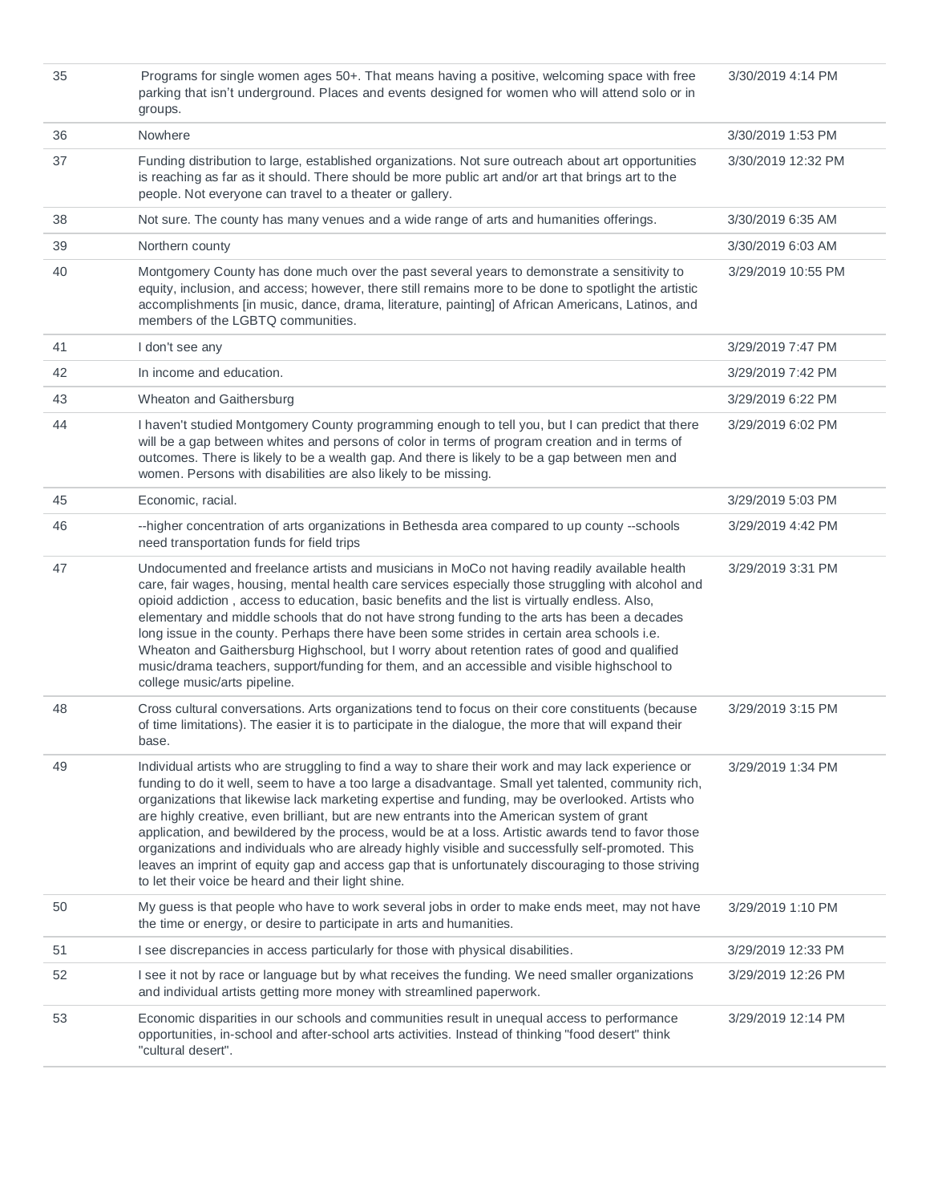| 35 | Programs for single women ages 50+. That means having a positive, welcoming space with free<br>parking that isn't underground. Places and events designed for women who will attend solo or in<br>groups.                                                                                                                                                                                                                                                                                                                                                                                                                                                                                                                                                                             | 3/30/2019 4:14 PM  |
|----|---------------------------------------------------------------------------------------------------------------------------------------------------------------------------------------------------------------------------------------------------------------------------------------------------------------------------------------------------------------------------------------------------------------------------------------------------------------------------------------------------------------------------------------------------------------------------------------------------------------------------------------------------------------------------------------------------------------------------------------------------------------------------------------|--------------------|
| 36 | Nowhere                                                                                                                                                                                                                                                                                                                                                                                                                                                                                                                                                                                                                                                                                                                                                                               | 3/30/2019 1:53 PM  |
| 37 | Funding distribution to large, established organizations. Not sure outreach about art opportunities<br>is reaching as far as it should. There should be more public art and/or art that brings art to the<br>people. Not everyone can travel to a theater or gallery.                                                                                                                                                                                                                                                                                                                                                                                                                                                                                                                 | 3/30/2019 12:32 PM |
| 38 | Not sure. The county has many venues and a wide range of arts and humanities offerings.                                                                                                                                                                                                                                                                                                                                                                                                                                                                                                                                                                                                                                                                                               | 3/30/2019 6:35 AM  |
| 39 | Northern county                                                                                                                                                                                                                                                                                                                                                                                                                                                                                                                                                                                                                                                                                                                                                                       | 3/30/2019 6:03 AM  |
| 40 | Montgomery County has done much over the past several years to demonstrate a sensitivity to<br>equity, inclusion, and access; however, there still remains more to be done to spotlight the artistic<br>accomplishments [in music, dance, drama, literature, painting] of African Americans, Latinos, and<br>members of the LGBTQ communities.                                                                                                                                                                                                                                                                                                                                                                                                                                        | 3/29/2019 10:55 PM |
| 41 | I don't see any                                                                                                                                                                                                                                                                                                                                                                                                                                                                                                                                                                                                                                                                                                                                                                       | 3/29/2019 7:47 PM  |
| 42 | In income and education.                                                                                                                                                                                                                                                                                                                                                                                                                                                                                                                                                                                                                                                                                                                                                              | 3/29/2019 7:42 PM  |
| 43 | Wheaton and Gaithersburg                                                                                                                                                                                                                                                                                                                                                                                                                                                                                                                                                                                                                                                                                                                                                              | 3/29/2019 6:22 PM  |
| 44 | I haven't studied Montgomery County programming enough to tell you, but I can predict that there<br>will be a gap between whites and persons of color in terms of program creation and in terms of<br>outcomes. There is likely to be a wealth gap. And there is likely to be a gap between men and<br>women. Persons with disabilities are also likely to be missing.                                                                                                                                                                                                                                                                                                                                                                                                                | 3/29/2019 6:02 PM  |
| 45 | Economic, racial.                                                                                                                                                                                                                                                                                                                                                                                                                                                                                                                                                                                                                                                                                                                                                                     | 3/29/2019 5:03 PM  |
| 46 | --higher concentration of arts organizations in Bethesda area compared to up county --schools<br>need transportation funds for field trips                                                                                                                                                                                                                                                                                                                                                                                                                                                                                                                                                                                                                                            | 3/29/2019 4:42 PM  |
| 47 | Undocumented and freelance artists and musicians in MoCo not having readily available health<br>care, fair wages, housing, mental health care services especially those struggling with alcohol and<br>opioid addiction, access to education, basic benefits and the list is virtually endless. Also,<br>elementary and middle schools that do not have strong funding to the arts has been a decades<br>long issue in the county. Perhaps there have been some strides in certain area schools i.e.<br>Wheaton and Gaithersburg Highschool, but I worry about retention rates of good and qualified<br>music/drama teachers, support/funding for them, and an accessible and visible highschool to<br>college music/arts pipeline.                                                   | 3/29/2019 3:31 PM  |
| 48 | Cross cultural conversations. Arts organizations tend to focus on their core constituents (because<br>of time limitations). The easier it is to participate in the dialogue, the more that will expand their<br>base.                                                                                                                                                                                                                                                                                                                                                                                                                                                                                                                                                                 | 3/29/2019 3:15 PM  |
| 49 | Individual artists who are struggling to find a way to share their work and may lack experience or<br>funding to do it well, seem to have a too large a disadvantage. Small yet talented, community rich,<br>organizations that likewise lack marketing expertise and funding, may be overlooked. Artists who<br>are highly creative, even brilliant, but are new entrants into the American system of grant<br>application, and bewildered by the process, would be at a loss. Artistic awards tend to favor those<br>organizations and individuals who are already highly visible and successfully self-promoted. This<br>leaves an imprint of equity gap and access gap that is unfortunately discouraging to those striving<br>to let their voice be heard and their light shine. | 3/29/2019 1:34 PM  |
| 50 | My guess is that people who have to work several jobs in order to make ends meet, may not have<br>the time or energy, or desire to participate in arts and humanities.                                                                                                                                                                                                                                                                                                                                                                                                                                                                                                                                                                                                                | 3/29/2019 1:10 PM  |
| 51 | I see discrepancies in access particularly for those with physical disabilities.                                                                                                                                                                                                                                                                                                                                                                                                                                                                                                                                                                                                                                                                                                      | 3/29/2019 12:33 PM |
| 52 | I see it not by race or language but by what receives the funding. We need smaller organizations<br>and individual artists getting more money with streamlined paperwork.                                                                                                                                                                                                                                                                                                                                                                                                                                                                                                                                                                                                             | 3/29/2019 12:26 PM |
| 53 | Economic disparities in our schools and communities result in unequal access to performance<br>opportunities, in-school and after-school arts activities. Instead of thinking "food desert" think<br>"cultural desert".                                                                                                                                                                                                                                                                                                                                                                                                                                                                                                                                                               | 3/29/2019 12:14 PM |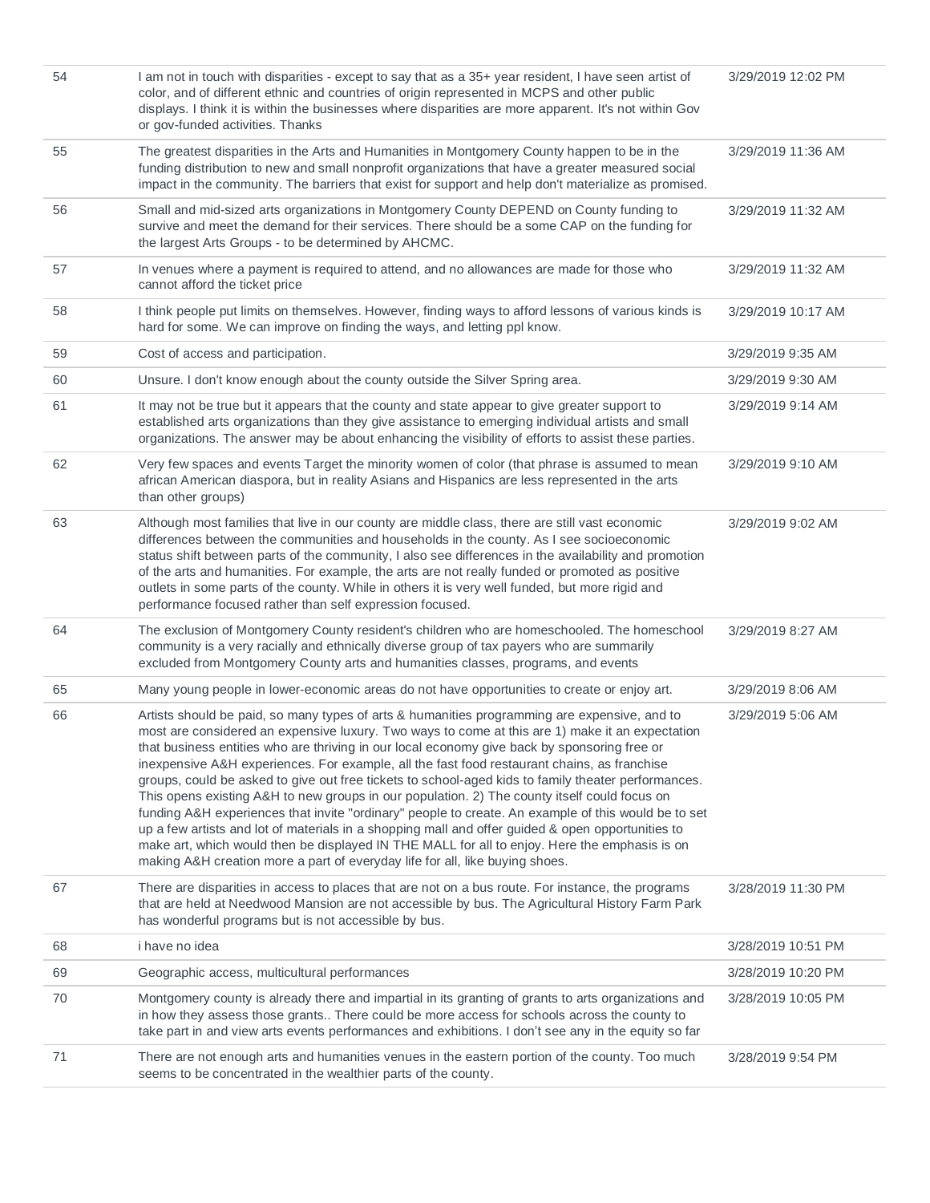| 54 | I am not in touch with disparities - except to say that as a 35+ year resident, I have seen artist of<br>color, and of different ethnic and countries of origin represented in MCPS and other public<br>displays. I think it is within the businesses where disparities are more apparent. It's not within Gov<br>or gov-funded activities. Thanks                                                                                                                                                                                                                                                                                                                                                                                                                                                                                                                                                                                                                                                 | 3/29/2019 12:02 PM |
|----|----------------------------------------------------------------------------------------------------------------------------------------------------------------------------------------------------------------------------------------------------------------------------------------------------------------------------------------------------------------------------------------------------------------------------------------------------------------------------------------------------------------------------------------------------------------------------------------------------------------------------------------------------------------------------------------------------------------------------------------------------------------------------------------------------------------------------------------------------------------------------------------------------------------------------------------------------------------------------------------------------|--------------------|
| 55 | The greatest disparities in the Arts and Humanities in Montgomery County happen to be in the<br>funding distribution to new and small nonprofit organizations that have a greater measured social<br>impact in the community. The barriers that exist for support and help don't materialize as promised.                                                                                                                                                                                                                                                                                                                                                                                                                                                                                                                                                                                                                                                                                          | 3/29/2019 11:36 AM |
| 56 | Small and mid-sized arts organizations in Montgomery County DEPEND on County funding to<br>survive and meet the demand for their services. There should be a some CAP on the funding for<br>the largest Arts Groups - to be determined by AHCMC.                                                                                                                                                                                                                                                                                                                                                                                                                                                                                                                                                                                                                                                                                                                                                   | 3/29/2019 11:32 AM |
| 57 | In venues where a payment is required to attend, and no allowances are made for those who<br>cannot afford the ticket price                                                                                                                                                                                                                                                                                                                                                                                                                                                                                                                                                                                                                                                                                                                                                                                                                                                                        | 3/29/2019 11:32 AM |
| 58 | I think people put limits on themselves. However, finding ways to afford lessons of various kinds is<br>hard for some. We can improve on finding the ways, and letting ppl know.                                                                                                                                                                                                                                                                                                                                                                                                                                                                                                                                                                                                                                                                                                                                                                                                                   | 3/29/2019 10:17 AM |
| 59 | Cost of access and participation.                                                                                                                                                                                                                                                                                                                                                                                                                                                                                                                                                                                                                                                                                                                                                                                                                                                                                                                                                                  | 3/29/2019 9:35 AM  |
| 60 | Unsure. I don't know enough about the county outside the Silver Spring area.                                                                                                                                                                                                                                                                                                                                                                                                                                                                                                                                                                                                                                                                                                                                                                                                                                                                                                                       | 3/29/2019 9:30 AM  |
| 61 | It may not be true but it appears that the county and state appear to give greater support to<br>established arts organizations than they give assistance to emerging individual artists and small<br>organizations. The answer may be about enhancing the visibility of efforts to assist these parties.                                                                                                                                                                                                                                                                                                                                                                                                                                                                                                                                                                                                                                                                                          | 3/29/2019 9:14 AM  |
| 62 | Very few spaces and events Target the minority women of color (that phrase is assumed to mean<br>african American diaspora, but in reality Asians and Hispanics are less represented in the arts<br>than other groups)                                                                                                                                                                                                                                                                                                                                                                                                                                                                                                                                                                                                                                                                                                                                                                             | 3/29/2019 9:10 AM  |
| 63 | Although most families that live in our county are middle class, there are still vast economic<br>differences between the communities and households in the county. As I see socioeconomic<br>status shift between parts of the community, I also see differences in the availability and promotion<br>of the arts and humanities. For example, the arts are not really funded or promoted as positive<br>outlets in some parts of the county. While in others it is very well funded, but more rigid and<br>performance focused rather than self expression focused.                                                                                                                                                                                                                                                                                                                                                                                                                              | 3/29/2019 9:02 AM  |
| 64 | The exclusion of Montgomery County resident's children who are homeschooled. The homeschool<br>community is a very racially and ethnically diverse group of tax payers who are summarily<br>excluded from Montgomery County arts and humanities classes, programs, and events                                                                                                                                                                                                                                                                                                                                                                                                                                                                                                                                                                                                                                                                                                                      | 3/29/2019 8:27 AM  |
| 65 | Many young people in lower-economic areas do not have opportunities to create or enjoy art.                                                                                                                                                                                                                                                                                                                                                                                                                                                                                                                                                                                                                                                                                                                                                                                                                                                                                                        | 3/29/2019 8:06 AM  |
| 66 | Artists should be paid, so many types of arts & humanities programming are expensive, and to<br>most are considered an expensive luxury. Two ways to come at this are 1) make it an expectation<br>that business entities who are thriving in our local economy give back by sponsoring free or<br>inexpensive A&H experiences. For example, all the fast food restaurant chains, as franchise<br>groups, could be asked to give out free tickets to school-aged kids to family theater performances.<br>This opens existing A&H to new groups in our population. 2) The county itself could focus on<br>funding A&H experiences that invite "ordinary" people to create. An example of this would be to set<br>up a few artists and lot of materials in a shopping mall and offer guided & open opportunities to<br>make art, which would then be displayed IN THE MALL for all to enjoy. Here the emphasis is on<br>making A&H creation more a part of everyday life for all, like buying shoes. | 3/29/2019 5:06 AM  |
| 67 | There are disparities in access to places that are not on a bus route. For instance, the programs<br>that are held at Needwood Mansion are not accessible by bus. The Agricultural History Farm Park<br>has wonderful programs but is not accessible by bus.                                                                                                                                                                                                                                                                                                                                                                                                                                                                                                                                                                                                                                                                                                                                       | 3/28/2019 11:30 PM |
| 68 | i have no idea                                                                                                                                                                                                                                                                                                                                                                                                                                                                                                                                                                                                                                                                                                                                                                                                                                                                                                                                                                                     | 3/28/2019 10:51 PM |
| 69 | Geographic access, multicultural performances                                                                                                                                                                                                                                                                                                                                                                                                                                                                                                                                                                                                                                                                                                                                                                                                                                                                                                                                                      | 3/28/2019 10:20 PM |
| 70 | Montgomery county is already there and impartial in its granting of grants to arts organizations and<br>in how they assess those grants There could be more access for schools across the county to<br>take part in and view arts events performances and exhibitions. I don't see any in the equity so far                                                                                                                                                                                                                                                                                                                                                                                                                                                                                                                                                                                                                                                                                        | 3/28/2019 10:05 PM |
| 71 | There are not enough arts and humanities venues in the eastern portion of the county. Too much<br>seems to be concentrated in the wealthier parts of the county.                                                                                                                                                                                                                                                                                                                                                                                                                                                                                                                                                                                                                                                                                                                                                                                                                                   | 3/28/2019 9:54 PM  |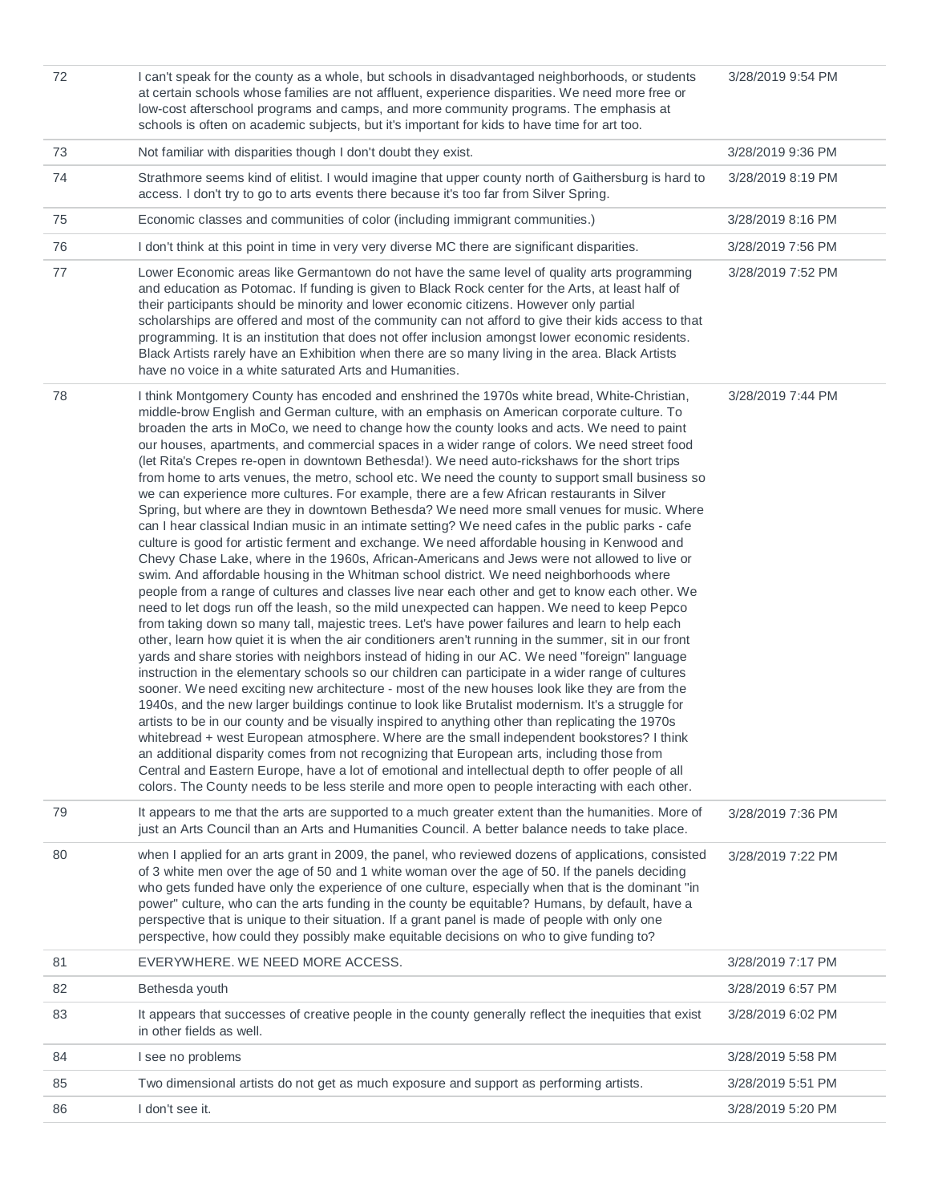| 72 | I can't speak for the county as a whole, but schools in disadvantaged neighborhoods, or students<br>at certain schools whose families are not affluent, experience disparities. We need more free or<br>low-cost afterschool programs and camps, and more community programs. The emphasis at<br>schools is often on academic subjects, but it's important for kids to have time for art too.                                                                                                                                                                                                                                                                                                                                                                                                                                                                                                                                                                                                                                                                                                                                                                                                                                                                                                                                                                                                                                                                                                                                                                                                                                                                                                                                                                                                                                                                                                                                                                                                                                                                                                                                                                                                                                                                                                                                                                                                                                                                                                                                            | 3/28/2019 9:54 PM |
|----|------------------------------------------------------------------------------------------------------------------------------------------------------------------------------------------------------------------------------------------------------------------------------------------------------------------------------------------------------------------------------------------------------------------------------------------------------------------------------------------------------------------------------------------------------------------------------------------------------------------------------------------------------------------------------------------------------------------------------------------------------------------------------------------------------------------------------------------------------------------------------------------------------------------------------------------------------------------------------------------------------------------------------------------------------------------------------------------------------------------------------------------------------------------------------------------------------------------------------------------------------------------------------------------------------------------------------------------------------------------------------------------------------------------------------------------------------------------------------------------------------------------------------------------------------------------------------------------------------------------------------------------------------------------------------------------------------------------------------------------------------------------------------------------------------------------------------------------------------------------------------------------------------------------------------------------------------------------------------------------------------------------------------------------------------------------------------------------------------------------------------------------------------------------------------------------------------------------------------------------------------------------------------------------------------------------------------------------------------------------------------------------------------------------------------------------------------------------------------------------------------------------------------------------|-------------------|
| 73 | Not familiar with disparities though I don't doubt they exist.                                                                                                                                                                                                                                                                                                                                                                                                                                                                                                                                                                                                                                                                                                                                                                                                                                                                                                                                                                                                                                                                                                                                                                                                                                                                                                                                                                                                                                                                                                                                                                                                                                                                                                                                                                                                                                                                                                                                                                                                                                                                                                                                                                                                                                                                                                                                                                                                                                                                           | 3/28/2019 9:36 PM |
| 74 | Strathmore seems kind of elitist. I would imagine that upper county north of Gaithersburg is hard to<br>access. I don't try to go to arts events there because it's too far from Silver Spring.                                                                                                                                                                                                                                                                                                                                                                                                                                                                                                                                                                                                                                                                                                                                                                                                                                                                                                                                                                                                                                                                                                                                                                                                                                                                                                                                                                                                                                                                                                                                                                                                                                                                                                                                                                                                                                                                                                                                                                                                                                                                                                                                                                                                                                                                                                                                          | 3/28/2019 8:19 PM |
| 75 | Economic classes and communities of color (including immigrant communities.)                                                                                                                                                                                                                                                                                                                                                                                                                                                                                                                                                                                                                                                                                                                                                                                                                                                                                                                                                                                                                                                                                                                                                                                                                                                                                                                                                                                                                                                                                                                                                                                                                                                                                                                                                                                                                                                                                                                                                                                                                                                                                                                                                                                                                                                                                                                                                                                                                                                             | 3/28/2019 8:16 PM |
| 76 | I don't think at this point in time in very very diverse MC there are significant disparities.                                                                                                                                                                                                                                                                                                                                                                                                                                                                                                                                                                                                                                                                                                                                                                                                                                                                                                                                                                                                                                                                                                                                                                                                                                                                                                                                                                                                                                                                                                                                                                                                                                                                                                                                                                                                                                                                                                                                                                                                                                                                                                                                                                                                                                                                                                                                                                                                                                           | 3/28/2019 7:56 PM |
| 77 | Lower Economic areas like Germantown do not have the same level of quality arts programming<br>and education as Potomac. If funding is given to Black Rock center for the Arts, at least half of<br>their participants should be minority and lower economic citizens. However only partial<br>scholarships are offered and most of the community can not afford to give their kids access to that<br>programming. It is an institution that does not offer inclusion amongst lower economic residents.<br>Black Artists rarely have an Exhibition when there are so many living in the area. Black Artists<br>have no voice in a white saturated Arts and Humanities.                                                                                                                                                                                                                                                                                                                                                                                                                                                                                                                                                                                                                                                                                                                                                                                                                                                                                                                                                                                                                                                                                                                                                                                                                                                                                                                                                                                                                                                                                                                                                                                                                                                                                                                                                                                                                                                                   | 3/28/2019 7:52 PM |
| 78 | I think Montgomery County has encoded and enshrined the 1970s white bread, White-Christian,<br>middle-brow English and German culture, with an emphasis on American corporate culture. To<br>broaden the arts in MoCo, we need to change how the county looks and acts. We need to paint<br>our houses, apartments, and commercial spaces in a wider range of colors. We need street food<br>(let Rita's Crepes re-open in downtown Bethesda!). We need auto-rickshaws for the short trips<br>from home to arts venues, the metro, school etc. We need the county to support small business so<br>we can experience more cultures. For example, there are a few African restaurants in Silver<br>Spring, but where are they in downtown Bethesda? We need more small venues for music. Where<br>can I hear classical Indian music in an intimate setting? We need cafes in the public parks - cafe<br>culture is good for artistic ferment and exchange. We need affordable housing in Kenwood and<br>Chevy Chase Lake, where in the 1960s, African-Americans and Jews were not allowed to live or<br>swim. And affordable housing in the Whitman school district. We need neighborhoods where<br>people from a range of cultures and classes live near each other and get to know each other. We<br>need to let dogs run off the leash, so the mild unexpected can happen. We need to keep Pepco<br>from taking down so many tall, majestic trees. Let's have power failures and learn to help each<br>other, learn how quiet it is when the air conditioners aren't running in the summer, sit in our front<br>yards and share stories with neighbors instead of hiding in our AC. We need "foreign" language<br>instruction in the elementary schools so our children can participate in a wider range of cultures<br>sooner. We need exciting new architecture - most of the new houses look like they are from the<br>1940s, and the new larger buildings continue to look like Brutalist modernism. It's a struggle for<br>artists to be in our county and be visually inspired to anything other than replicating the 1970s<br>whitebread + west European atmosphere. Where are the small independent bookstores? I think<br>an additional disparity comes from not recognizing that European arts, including those from<br>Central and Eastern Europe, have a lot of emotional and intellectual depth to offer people of all<br>colors. The County needs to be less sterile and more open to people interacting with each other. | 3/28/2019 7:44 PM |
| 79 | It appears to me that the arts are supported to a much greater extent than the humanities. More of<br>just an Arts Council than an Arts and Humanities Council. A better balance needs to take place.                                                                                                                                                                                                                                                                                                                                                                                                                                                                                                                                                                                                                                                                                                                                                                                                                                                                                                                                                                                                                                                                                                                                                                                                                                                                                                                                                                                                                                                                                                                                                                                                                                                                                                                                                                                                                                                                                                                                                                                                                                                                                                                                                                                                                                                                                                                                    | 3/28/2019 7:36 PM |
| 80 | when I applied for an arts grant in 2009, the panel, who reviewed dozens of applications, consisted<br>of 3 white men over the age of 50 and 1 white woman over the age of 50. If the panels deciding<br>who gets funded have only the experience of one culture, especially when that is the dominant "in<br>power" culture, who can the arts funding in the county be equitable? Humans, by default, have a<br>perspective that is unique to their situation. If a grant panel is made of people with only one<br>perspective, how could they possibly make equitable decisions on who to give funding to?                                                                                                                                                                                                                                                                                                                                                                                                                                                                                                                                                                                                                                                                                                                                                                                                                                                                                                                                                                                                                                                                                                                                                                                                                                                                                                                                                                                                                                                                                                                                                                                                                                                                                                                                                                                                                                                                                                                             | 3/28/2019 7:22 PM |
| 81 | EVERYWHERE. WE NEED MORE ACCESS.                                                                                                                                                                                                                                                                                                                                                                                                                                                                                                                                                                                                                                                                                                                                                                                                                                                                                                                                                                                                                                                                                                                                                                                                                                                                                                                                                                                                                                                                                                                                                                                                                                                                                                                                                                                                                                                                                                                                                                                                                                                                                                                                                                                                                                                                                                                                                                                                                                                                                                         | 3/28/2019 7:17 PM |
| 82 | Bethesda youth                                                                                                                                                                                                                                                                                                                                                                                                                                                                                                                                                                                                                                                                                                                                                                                                                                                                                                                                                                                                                                                                                                                                                                                                                                                                                                                                                                                                                                                                                                                                                                                                                                                                                                                                                                                                                                                                                                                                                                                                                                                                                                                                                                                                                                                                                                                                                                                                                                                                                                                           | 3/28/2019 6:57 PM |
| 83 | It appears that successes of creative people in the county generally reflect the inequities that exist<br>in other fields as well.                                                                                                                                                                                                                                                                                                                                                                                                                                                                                                                                                                                                                                                                                                                                                                                                                                                                                                                                                                                                                                                                                                                                                                                                                                                                                                                                                                                                                                                                                                                                                                                                                                                                                                                                                                                                                                                                                                                                                                                                                                                                                                                                                                                                                                                                                                                                                                                                       | 3/28/2019 6:02 PM |
| 84 | I see no problems                                                                                                                                                                                                                                                                                                                                                                                                                                                                                                                                                                                                                                                                                                                                                                                                                                                                                                                                                                                                                                                                                                                                                                                                                                                                                                                                                                                                                                                                                                                                                                                                                                                                                                                                                                                                                                                                                                                                                                                                                                                                                                                                                                                                                                                                                                                                                                                                                                                                                                                        | 3/28/2019 5:58 PM |
| 85 | Two dimensional artists do not get as much exposure and support as performing artists.                                                                                                                                                                                                                                                                                                                                                                                                                                                                                                                                                                                                                                                                                                                                                                                                                                                                                                                                                                                                                                                                                                                                                                                                                                                                                                                                                                                                                                                                                                                                                                                                                                                                                                                                                                                                                                                                                                                                                                                                                                                                                                                                                                                                                                                                                                                                                                                                                                                   | 3/28/2019 5:51 PM |
| 86 | I don't see it.                                                                                                                                                                                                                                                                                                                                                                                                                                                                                                                                                                                                                                                                                                                                                                                                                                                                                                                                                                                                                                                                                                                                                                                                                                                                                                                                                                                                                                                                                                                                                                                                                                                                                                                                                                                                                                                                                                                                                                                                                                                                                                                                                                                                                                                                                                                                                                                                                                                                                                                          | 3/28/2019 5:20 PM |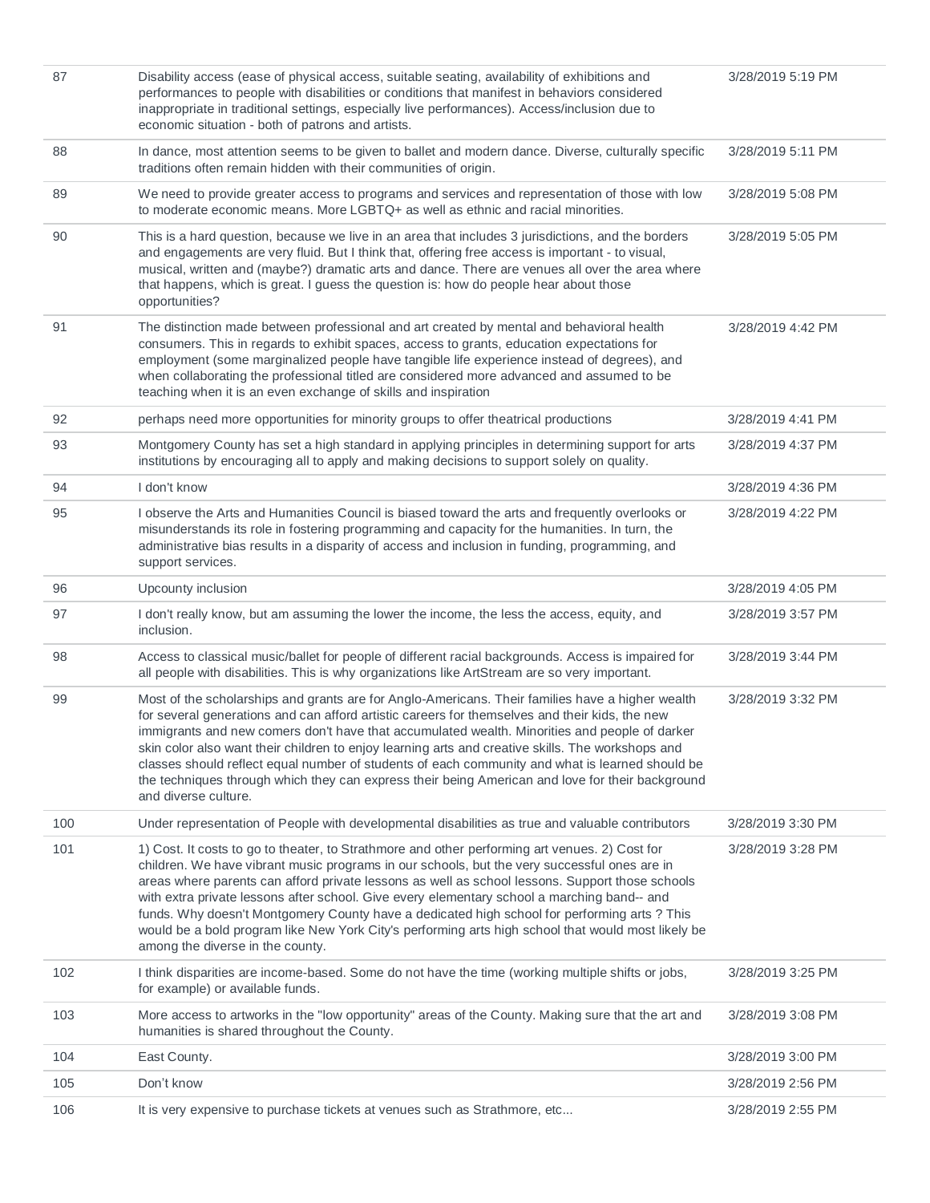| 87  | Disability access (ease of physical access, suitable seating, availability of exhibitions and<br>performances to people with disabilities or conditions that manifest in behaviors considered<br>inappropriate in traditional settings, especially live performances). Access/inclusion due to<br>economic situation - both of patrons and artists.                                                                                                                                                                                                                                                                                        | 3/28/2019 5:19 PM |
|-----|--------------------------------------------------------------------------------------------------------------------------------------------------------------------------------------------------------------------------------------------------------------------------------------------------------------------------------------------------------------------------------------------------------------------------------------------------------------------------------------------------------------------------------------------------------------------------------------------------------------------------------------------|-------------------|
| 88  | In dance, most attention seems to be given to ballet and modern dance. Diverse, culturally specific<br>traditions often remain hidden with their communities of origin.                                                                                                                                                                                                                                                                                                                                                                                                                                                                    | 3/28/2019 5:11 PM |
| 89  | We need to provide greater access to programs and services and representation of those with low<br>to moderate economic means. More LGBTQ+ as well as ethnic and racial minorities.                                                                                                                                                                                                                                                                                                                                                                                                                                                        | 3/28/2019 5:08 PM |
| 90  | This is a hard question, because we live in an area that includes 3 jurisdictions, and the borders<br>and engagements are very fluid. But I think that, offering free access is important - to visual,<br>musical, written and (maybe?) dramatic arts and dance. There are venues all over the area where<br>that happens, which is great. I guess the question is: how do people hear about those<br>opportunities?                                                                                                                                                                                                                       | 3/28/2019 5:05 PM |
| 91  | The distinction made between professional and art created by mental and behavioral health<br>consumers. This in regards to exhibit spaces, access to grants, education expectations for<br>employment (some marginalized people have tangible life experience instead of degrees), and<br>when collaborating the professional titled are considered more advanced and assumed to be<br>teaching when it is an even exchange of skills and inspiration                                                                                                                                                                                      | 3/28/2019 4:42 PM |
| 92  | perhaps need more opportunities for minority groups to offer theatrical productions                                                                                                                                                                                                                                                                                                                                                                                                                                                                                                                                                        | 3/28/2019 4:41 PM |
| 93  | Montgomery County has set a high standard in applying principles in determining support for arts<br>institutions by encouraging all to apply and making decisions to support solely on quality.                                                                                                                                                                                                                                                                                                                                                                                                                                            | 3/28/2019 4:37 PM |
| 94  | I don't know                                                                                                                                                                                                                                                                                                                                                                                                                                                                                                                                                                                                                               | 3/28/2019 4:36 PM |
| 95  | I observe the Arts and Humanities Council is biased toward the arts and frequently overlooks or<br>misunderstands its role in fostering programming and capacity for the humanities. In turn, the<br>administrative bias results in a disparity of access and inclusion in funding, programming, and<br>support services.                                                                                                                                                                                                                                                                                                                  | 3/28/2019 4:22 PM |
| 96  | Upcounty inclusion                                                                                                                                                                                                                                                                                                                                                                                                                                                                                                                                                                                                                         | 3/28/2019 4:05 PM |
| 97  | I don't really know, but am assuming the lower the income, the less the access, equity, and<br>inclusion.                                                                                                                                                                                                                                                                                                                                                                                                                                                                                                                                  | 3/28/2019 3:57 PM |
| 98  | Access to classical music/ballet for people of different racial backgrounds. Access is impaired for<br>all people with disabilities. This is why organizations like ArtStream are so very important.                                                                                                                                                                                                                                                                                                                                                                                                                                       | 3/28/2019 3:44 PM |
| 99  | Most of the scholarships and grants are for Anglo-Americans. Their families have a higher wealth<br>for several generations and can afford artistic careers for themselves and their kids, the new<br>immigrants and new comers don't have that accumulated wealth. Minorities and people of darker<br>skin color also want their children to enjoy learning arts and creative skills. The workshops and<br>classes should reflect equal number of students of each community and what is learned should be<br>the techniques through which they can express their being American and love for their background<br>and diverse culture.    | 3/28/2019 3:32 PM |
| 100 | Under representation of People with developmental disabilities as true and valuable contributors                                                                                                                                                                                                                                                                                                                                                                                                                                                                                                                                           | 3/28/2019 3:30 PM |
| 101 | 1) Cost. It costs to go to theater, to Strathmore and other performing art venues. 2) Cost for<br>children. We have vibrant music programs in our schools, but the very successful ones are in<br>areas where parents can afford private lessons as well as school lessons. Support those schools<br>with extra private lessons after school. Give every elementary school a marching band-- and<br>funds. Why doesn't Montgomery County have a dedicated high school for performing arts ? This<br>would be a bold program like New York City's performing arts high school that would most likely be<br>among the diverse in the county. | 3/28/2019 3:28 PM |
| 102 | I think disparities are income-based. Some do not have the time (working multiple shifts or jobs,<br>for example) or available funds.                                                                                                                                                                                                                                                                                                                                                                                                                                                                                                      | 3/28/2019 3:25 PM |
| 103 | More access to artworks in the "low opportunity" areas of the County. Making sure that the art and<br>humanities is shared throughout the County.                                                                                                                                                                                                                                                                                                                                                                                                                                                                                          | 3/28/2019 3:08 PM |
| 104 | East County.                                                                                                                                                                                                                                                                                                                                                                                                                                                                                                                                                                                                                               | 3/28/2019 3:00 PM |
| 105 | Don't know                                                                                                                                                                                                                                                                                                                                                                                                                                                                                                                                                                                                                                 | 3/28/2019 2:56 PM |
| 106 | It is very expensive to purchase tickets at venues such as Strathmore, etc                                                                                                                                                                                                                                                                                                                                                                                                                                                                                                                                                                 | 3/28/2019 2:55 PM |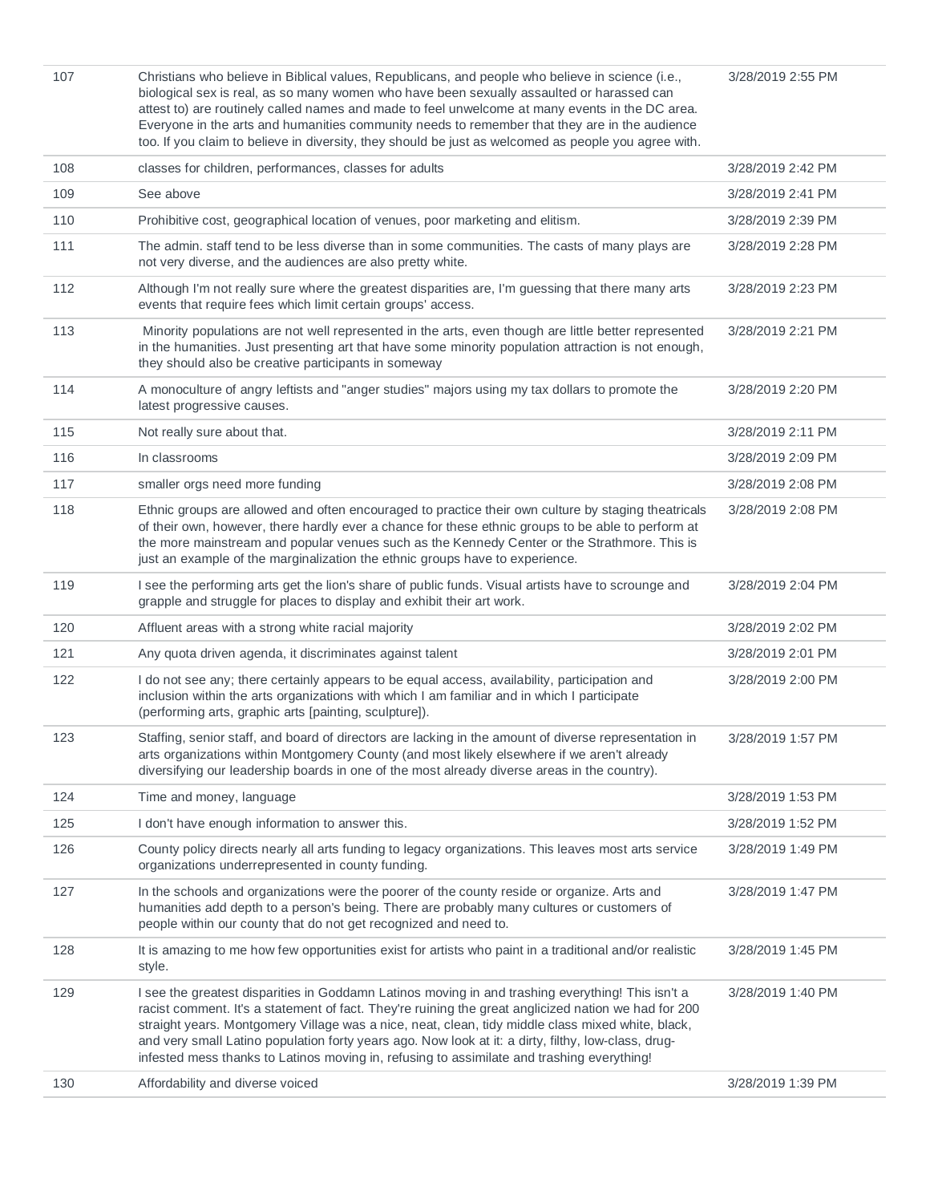| 107 | Christians who believe in Biblical values, Republicans, and people who believe in science (i.e.,<br>biological sex is real, as so many women who have been sexually assaulted or harassed can<br>attest to) are routinely called names and made to feel unwelcome at many events in the DC area.<br>Everyone in the arts and humanities community needs to remember that they are in the audience<br>too. If you claim to believe in diversity, they should be just as welcomed as people you agree with.           | 3/28/2019 2:55 PM |
|-----|---------------------------------------------------------------------------------------------------------------------------------------------------------------------------------------------------------------------------------------------------------------------------------------------------------------------------------------------------------------------------------------------------------------------------------------------------------------------------------------------------------------------|-------------------|
| 108 | classes for children, performances, classes for adults                                                                                                                                                                                                                                                                                                                                                                                                                                                              | 3/28/2019 2:42 PM |
| 109 | See above                                                                                                                                                                                                                                                                                                                                                                                                                                                                                                           | 3/28/2019 2:41 PM |
| 110 | Prohibitive cost, geographical location of venues, poor marketing and elitism.                                                                                                                                                                                                                                                                                                                                                                                                                                      | 3/28/2019 2:39 PM |
| 111 | The admin. staff tend to be less diverse than in some communities. The casts of many plays are<br>not very diverse, and the audiences are also pretty white.                                                                                                                                                                                                                                                                                                                                                        | 3/28/2019 2:28 PM |
| 112 | Although I'm not really sure where the greatest disparities are, I'm guessing that there many arts<br>events that require fees which limit certain groups' access.                                                                                                                                                                                                                                                                                                                                                  | 3/28/2019 2:23 PM |
| 113 | Minority populations are not well represented in the arts, even though are little better represented<br>in the humanities. Just presenting art that have some minority population attraction is not enough,<br>they should also be creative participants in someway                                                                                                                                                                                                                                                 | 3/28/2019 2:21 PM |
| 114 | A monoculture of angry leftists and "anger studies" majors using my tax dollars to promote the<br>latest progressive causes.                                                                                                                                                                                                                                                                                                                                                                                        | 3/28/2019 2:20 PM |
| 115 | Not really sure about that.                                                                                                                                                                                                                                                                                                                                                                                                                                                                                         | 3/28/2019 2:11 PM |
| 116 | In classrooms                                                                                                                                                                                                                                                                                                                                                                                                                                                                                                       | 3/28/2019 2:09 PM |
| 117 | smaller orgs need more funding                                                                                                                                                                                                                                                                                                                                                                                                                                                                                      | 3/28/2019 2:08 PM |
| 118 | Ethnic groups are allowed and often encouraged to practice their own culture by staging theatricals<br>of their own, however, there hardly ever a chance for these ethnic groups to be able to perform at<br>the more mainstream and popular venues such as the Kennedy Center or the Strathmore. This is<br>just an example of the marginalization the ethnic groups have to experience.                                                                                                                           | 3/28/2019 2:08 PM |
| 119 | I see the performing arts get the lion's share of public funds. Visual artists have to scrounge and<br>grapple and struggle for places to display and exhibit their art work.                                                                                                                                                                                                                                                                                                                                       | 3/28/2019 2:04 PM |
| 120 | Affluent areas with a strong white racial majority                                                                                                                                                                                                                                                                                                                                                                                                                                                                  | 3/28/2019 2:02 PM |
| 121 | Any quota driven agenda, it discriminates against talent                                                                                                                                                                                                                                                                                                                                                                                                                                                            | 3/28/2019 2:01 PM |
| 122 | I do not see any; there certainly appears to be equal access, availability, participation and<br>inclusion within the arts organizations with which I am familiar and in which I participate<br>(performing arts, graphic arts [painting, sculpture]).                                                                                                                                                                                                                                                              | 3/28/2019 2:00 PM |
| 123 | Staffing, senior staff, and board of directors are lacking in the amount of diverse representation in<br>arts organizations within Montgomery County (and most likely elsewhere if we aren't already<br>diversifying our leadership boards in one of the most already diverse areas in the country).                                                                                                                                                                                                                | 3/28/2019 1:57 PM |
| 124 | Time and money, language                                                                                                                                                                                                                                                                                                                                                                                                                                                                                            | 3/28/2019 1:53 PM |
| 125 | I don't have enough information to answer this.                                                                                                                                                                                                                                                                                                                                                                                                                                                                     | 3/28/2019 1:52 PM |
| 126 | County policy directs nearly all arts funding to legacy organizations. This leaves most arts service<br>organizations underrepresented in county funding.                                                                                                                                                                                                                                                                                                                                                           | 3/28/2019 1:49 PM |
| 127 | In the schools and organizations were the poorer of the county reside or organize. Arts and<br>humanities add depth to a person's being. There are probably many cultures or customers of<br>people within our county that do not get recognized and need to.                                                                                                                                                                                                                                                       | 3/28/2019 1:47 PM |
| 128 | It is amazing to me how few opportunities exist for artists who paint in a traditional and/or realistic<br>style.                                                                                                                                                                                                                                                                                                                                                                                                   | 3/28/2019 1:45 PM |
| 129 | I see the greatest disparities in Goddamn Latinos moving in and trashing everything! This isn't a<br>racist comment. It's a statement of fact. They're ruining the great anglicized nation we had for 200<br>straight years. Montgomery Village was a nice, neat, clean, tidy middle class mixed white, black,<br>and very small Latino population forty years ago. Now look at it: a dirty, filthy, low-class, drug-<br>infested mess thanks to Latinos moving in, refusing to assimilate and trashing everything! | 3/28/2019 1:40 PM |
| 130 | Affordability and diverse voiced                                                                                                                                                                                                                                                                                                                                                                                                                                                                                    | 3/28/2019 1:39 PM |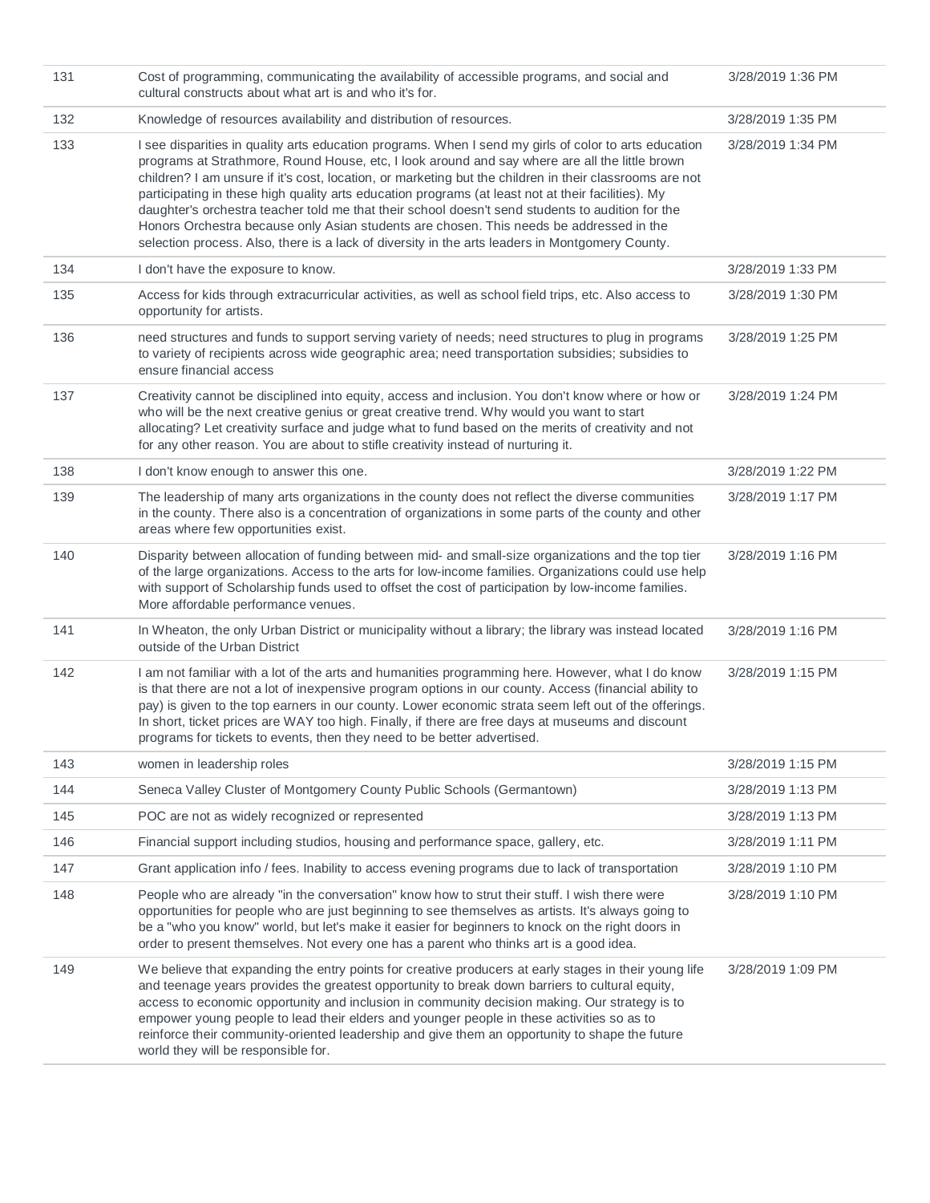| 131 | Cost of programming, communicating the availability of accessible programs, and social and<br>cultural constructs about what art is and who it's for.                                                                                                                                                                                                                                                                                                                                                                                                                                                                                                                                                                      | 3/28/2019 1:36 PM |
|-----|----------------------------------------------------------------------------------------------------------------------------------------------------------------------------------------------------------------------------------------------------------------------------------------------------------------------------------------------------------------------------------------------------------------------------------------------------------------------------------------------------------------------------------------------------------------------------------------------------------------------------------------------------------------------------------------------------------------------------|-------------------|
| 132 | Knowledge of resources availability and distribution of resources.                                                                                                                                                                                                                                                                                                                                                                                                                                                                                                                                                                                                                                                         | 3/28/2019 1:35 PM |
| 133 | I see disparities in quality arts education programs. When I send my girls of color to arts education<br>programs at Strathmore, Round House, etc, I look around and say where are all the little brown<br>children? I am unsure if it's cost, location, or marketing but the children in their classrooms are not<br>participating in these high quality arts education programs (at least not at their facilities). My<br>daughter's orchestra teacher told me that their school doesn't send students to audition for the<br>Honors Orchestra because only Asian students are chosen. This needs be addressed in the<br>selection process. Also, there is a lack of diversity in the arts leaders in Montgomery County. | 3/28/2019 1:34 PM |
| 134 | I don't have the exposure to know.                                                                                                                                                                                                                                                                                                                                                                                                                                                                                                                                                                                                                                                                                         | 3/28/2019 1:33 PM |
| 135 | Access for kids through extracurricular activities, as well as school field trips, etc. Also access to<br>opportunity for artists.                                                                                                                                                                                                                                                                                                                                                                                                                                                                                                                                                                                         | 3/28/2019 1:30 PM |
| 136 | need structures and funds to support serving variety of needs; need structures to plug in programs<br>to variety of recipients across wide geographic area; need transportation subsidies; subsidies to<br>ensure financial access                                                                                                                                                                                                                                                                                                                                                                                                                                                                                         | 3/28/2019 1:25 PM |
| 137 | Creativity cannot be disciplined into equity, access and inclusion. You don't know where or how or<br>who will be the next creative genius or great creative trend. Why would you want to start<br>allocating? Let creativity surface and judge what to fund based on the merits of creativity and not<br>for any other reason. You are about to stifle creativity instead of nurturing it.                                                                                                                                                                                                                                                                                                                                | 3/28/2019 1:24 PM |
| 138 | I don't know enough to answer this one.                                                                                                                                                                                                                                                                                                                                                                                                                                                                                                                                                                                                                                                                                    | 3/28/2019 1:22 PM |
| 139 | The leadership of many arts organizations in the county does not reflect the diverse communities<br>in the county. There also is a concentration of organizations in some parts of the county and other<br>areas where few opportunities exist.                                                                                                                                                                                                                                                                                                                                                                                                                                                                            | 3/28/2019 1:17 PM |
| 140 | Disparity between allocation of funding between mid- and small-size organizations and the top tier<br>of the large organizations. Access to the arts for low-income families. Organizations could use help<br>with support of Scholarship funds used to offset the cost of participation by low-income families.<br>More affordable performance venues.                                                                                                                                                                                                                                                                                                                                                                    | 3/28/2019 1:16 PM |
| 141 | In Wheaton, the only Urban District or municipality without a library; the library was instead located<br>outside of the Urban District                                                                                                                                                                                                                                                                                                                                                                                                                                                                                                                                                                                    | 3/28/2019 1:16 PM |
| 142 | I am not familiar with a lot of the arts and humanities programming here. However, what I do know<br>is that there are not a lot of inexpensive program options in our county. Access (financial ability to<br>pay) is given to the top earners in our county. Lower economic strata seem left out of the offerings.<br>In short, ticket prices are WAY too high. Finally, if there are free days at museums and discount<br>programs for tickets to events, then they need to be better advertised.                                                                                                                                                                                                                       | 3/28/2019 1:15 PM |
| 143 | women in leadership roles                                                                                                                                                                                                                                                                                                                                                                                                                                                                                                                                                                                                                                                                                                  | 3/28/2019 1:15 PM |
| 144 | Seneca Valley Cluster of Montgomery County Public Schools (Germantown)                                                                                                                                                                                                                                                                                                                                                                                                                                                                                                                                                                                                                                                     | 3/28/2019 1:13 PM |
| 145 | POC are not as widely recognized or represented                                                                                                                                                                                                                                                                                                                                                                                                                                                                                                                                                                                                                                                                            | 3/28/2019 1:13 PM |
| 146 | Financial support including studios, housing and performance space, gallery, etc.                                                                                                                                                                                                                                                                                                                                                                                                                                                                                                                                                                                                                                          | 3/28/2019 1:11 PM |
| 147 | Grant application info / fees. Inability to access evening programs due to lack of transportation                                                                                                                                                                                                                                                                                                                                                                                                                                                                                                                                                                                                                          | 3/28/2019 1:10 PM |
| 148 | People who are already "in the conversation" know how to strut their stuff. I wish there were<br>opportunities for people who are just beginning to see themselves as artists. It's always going to<br>be a "who you know" world, but let's make it easier for beginners to knock on the right doors in<br>order to present themselves. Not every one has a parent who thinks art is a good idea.                                                                                                                                                                                                                                                                                                                          | 3/28/2019 1:10 PM |
| 149 | We believe that expanding the entry points for creative producers at early stages in their young life<br>and teenage years provides the greatest opportunity to break down barriers to cultural equity,<br>access to economic opportunity and inclusion in community decision making. Our strategy is to<br>empower young people to lead their elders and younger people in these activities so as to<br>reinforce their community-oriented leadership and give them an opportunity to shape the future<br>world they will be responsible for.                                                                                                                                                                             | 3/28/2019 1:09 PM |